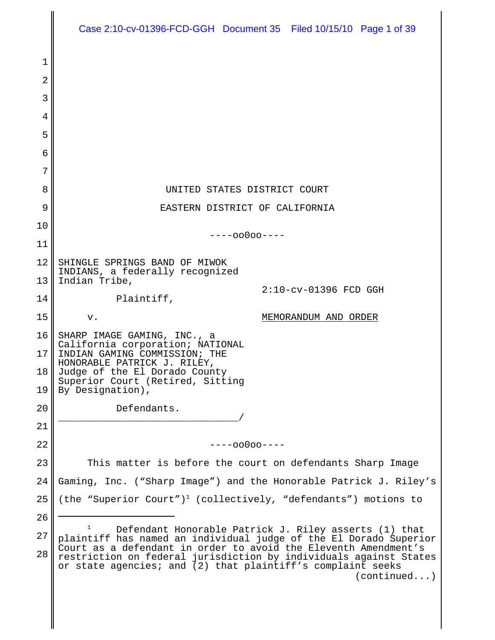|    | Case 2:10-cv-01396-FCD-GGH Document 35 Filed 10/15/10 Page 1 of 39                                                                                                                                                                                                                                                                |  |  |
|----|-----------------------------------------------------------------------------------------------------------------------------------------------------------------------------------------------------------------------------------------------------------------------------------------------------------------------------------|--|--|
|    |                                                                                                                                                                                                                                                                                                                                   |  |  |
| 1  |                                                                                                                                                                                                                                                                                                                                   |  |  |
| 2  |                                                                                                                                                                                                                                                                                                                                   |  |  |
| 3  |                                                                                                                                                                                                                                                                                                                                   |  |  |
| 4  |                                                                                                                                                                                                                                                                                                                                   |  |  |
| 5  |                                                                                                                                                                                                                                                                                                                                   |  |  |
| 6  |                                                                                                                                                                                                                                                                                                                                   |  |  |
| 7  |                                                                                                                                                                                                                                                                                                                                   |  |  |
| 8  | UNITED STATES DISTRICT COURT                                                                                                                                                                                                                                                                                                      |  |  |
| 9  | EASTERN DISTRICT OF CALIFORNIA                                                                                                                                                                                                                                                                                                    |  |  |
| 10 | $---00000---$                                                                                                                                                                                                                                                                                                                     |  |  |
| 11 |                                                                                                                                                                                                                                                                                                                                   |  |  |
| 12 | SHINGLE SPRINGS BAND OF MIWOK<br>INDIANS, a federally recognized<br>Indian Tribe,<br>2:10-cv-01396 FCD GGH                                                                                                                                                                                                                        |  |  |
| 13 |                                                                                                                                                                                                                                                                                                                                   |  |  |
| 14 | Plaintiff,                                                                                                                                                                                                                                                                                                                        |  |  |
| 15 | MEMORANDUM AND ORDER<br>v.                                                                                                                                                                                                                                                                                                        |  |  |
| 16 | SHARP IMAGE GAMING, INC., a<br>California corporation; NATIONAL                                                                                                                                                                                                                                                                   |  |  |
| 17 | INDIAN GAMING COMMISSION; THE<br>HONORABLE PATRICK J. RILEY,<br>Judge of the El Dorado County<br>Superior Court (Retired, Sitting                                                                                                                                                                                                 |  |  |
| 18 |                                                                                                                                                                                                                                                                                                                                   |  |  |
| 19 | By Designation),                                                                                                                                                                                                                                                                                                                  |  |  |
| 20 | Defendants.                                                                                                                                                                                                                                                                                                                       |  |  |
| 21 |                                                                                                                                                                                                                                                                                                                                   |  |  |
| 22 | ----00000----                                                                                                                                                                                                                                                                                                                     |  |  |
| 23 | This matter is before the court on defendants Sharp Image                                                                                                                                                                                                                                                                         |  |  |
| 24 | Gaming, Inc. ("Sharp Image") and the Honorable Patrick J. Riley's                                                                                                                                                                                                                                                                 |  |  |
| 25 | (the "Superior Court") <sup>1</sup> (collectively, "defendants") motions to                                                                                                                                                                                                                                                       |  |  |
| 26 |                                                                                                                                                                                                                                                                                                                                   |  |  |
| 27 | Defendant Honorable Patrick J. Riley asserts (1) that<br>plaintiff has named an individual judge of the El Dorado Superior<br>Court as a defendant in order to avoid the Eleventh Amendment's<br>restriction on federal jurisdiction by individuals against States<br>or state agencies; and (2) that plaintiff's complaint seeks |  |  |
| 28 |                                                                                                                                                                                                                                                                                                                                   |  |  |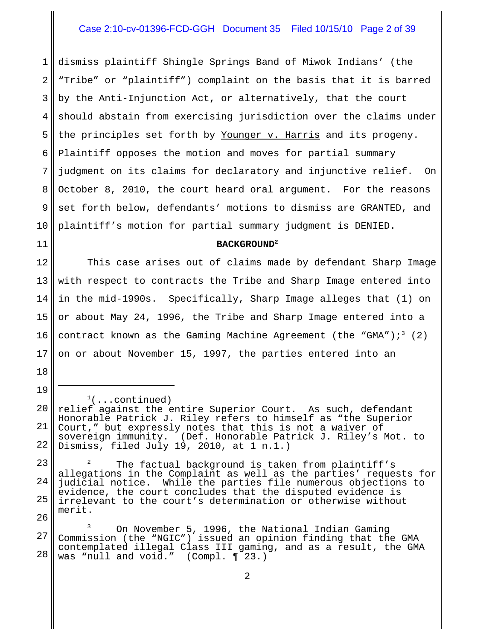## Case 2:10-cv-01396-FCD-GGH Document 35 Filed 10/15/10 Page 2 of 39

1 2 3 4 5 6 7 8 9 10 dismiss plaintiff Shingle Springs Band of Miwok Indians' (the "Tribe" or "plaintiff") complaint on the basis that it is barred by the Anti-Injunction Act, or alternatively, that the court should abstain from exercising jurisdiction over the claims under the principles set forth by Younger v. Harris and its progeny. Plaintiff opposes the motion and moves for partial summary judgment on its claims for declaratory and injunctive relief. On October 8, 2010, the court heard oral argument. For the reasons set forth below, defendants' motions to dismiss are GRANTED, and plaintiff's motion for partial summary judgment is DENIED.

#### **BACKGROUND2**

12 13 14 15 16 17 This case arises out of claims made by defendant Sharp Image with respect to contracts the Tribe and Sharp Image entered into in the mid-1990s. Specifically, Sharp Image alleges that (1) on or about May 24, 1996, the Tribe and Sharp Image entered into a contract known as the Gaming Machine Agreement (the "GMA");<sup>3</sup> (2) on or about November 15, 1997, the parties entered into an

18 19

11

 $^1($ ...continued)

<sup>20</sup> 21 22 relief against the entire Superior Court. As such, defendant Honorable Patrick J. Riley refers to himself as "the Superior Court," but expressly notes that this is not a waiver of sovereign immunity. (Def. Honorable Patrick J. Riley's Mot. to Dismiss, filed July 19, 2010, at 1 n.1.)

<sup>23</sup> 24 25 26  $2^2$  The factual background is taken from plaintiff's allegations in the Complaint as well as the parties' requests for judicial notice. While the parties file numerous objections to evidence, the court concludes that the disputed evidence is irrelevant to the court's determination or otherwise without merit.

<sup>27</sup> 28 <sup>3</sup> On November 5, 1996, the National Indian Gaming Commission (the "NGIC") issued an opinion finding that the GMA contemplated illegal Class III gaming, and as a result, the GMA was "null and void." (Compl. ¶ 23.)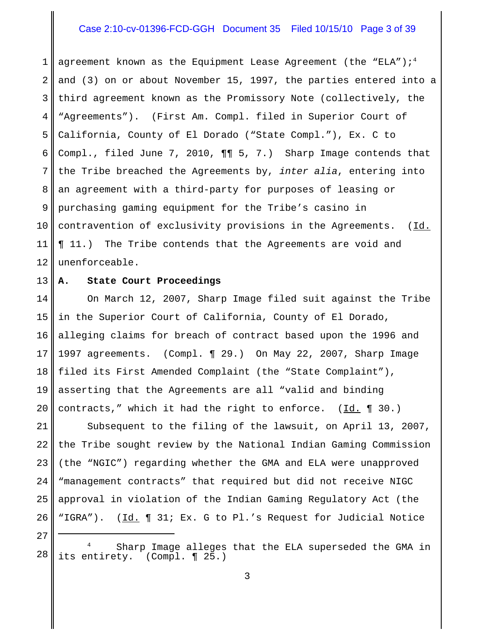#### Case 2:10-cv-01396-FCD-GGH Document 35 Filed 10/15/10 Page 3 of 39

1 2 3 4 5 6 7 8 9 10 11 12 agreement known as the Equipment Lease Agreement (the "ELA");<sup>4</sup> and (3) on or about November 15, 1997, the parties entered into a third agreement known as the Promissory Note (collectively, the "Agreements"). (First Am. Compl. filed in Superior Court of California, County of El Dorado ("State Compl."), Ex. C to Compl., filed June 7, 2010, ¶¶ 5, 7.) Sharp Image contends that the Tribe breached the Agreements by, *inter alia*, entering into an agreement with a third-party for purposes of leasing or purchasing gaming equipment for the Tribe's casino in contravention of exclusivity provisions in the Agreements. (Id. ¶ 11.) The Tribe contends that the Agreements are void and unenforceable.

13 **A. State Court Proceedings**

27

14 15 16 17 18 19 20 On March 12, 2007, Sharp Image filed suit against the Tribe in the Superior Court of California, County of El Dorado, alleging claims for breach of contract based upon the 1996 and 1997 agreements. (Compl. ¶ 29.) On May 22, 2007, Sharp Image filed its First Amended Complaint (the "State Complaint"), asserting that the Agreements are all "valid and binding contracts," which it had the right to enforce.  $(\underline{Id.} \P 30.)$ 

21 22 23 24 25 26 Subsequent to the filing of the lawsuit, on April 13, 2007, the Tribe sought review by the National Indian Gaming Commission (the "NGIC") regarding whether the GMA and ELA were unapproved "management contracts" that required but did not receive NIGC approval in violation of the Indian Gaming Regulatory Act (the "IGRA"). (Id. 1 31; Ex. G to Pl.'s Request for Judicial Notice

28 Sharp Image alleges that the ELA superseded the GMA in its entirety. (Compl. ¶ 25.)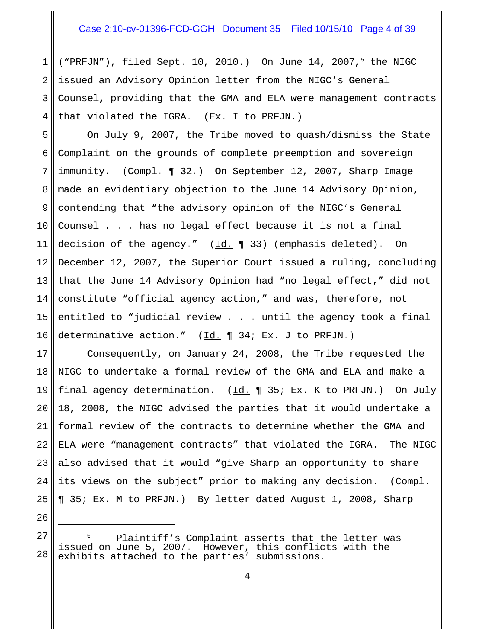### Case 2:10-cv-01396-FCD-GGH Document 35 Filed 10/15/10 Page 4 of 39

1 2 3 4 ("PRFJN"), filed Sept. 10, 2010.) On June 14, 2007, $5$  the NIGC issued an Advisory Opinion letter from the NIGC's General Counsel, providing that the GMA and ELA were management contracts that violated the IGRA. (Ex. I to PRFJN.)

5 6 7 8 9 10 11 12 13 14 15 16 On July 9, 2007, the Tribe moved to quash/dismiss the State Complaint on the grounds of complete preemption and sovereign immunity. (Compl. ¶ 32.) On September 12, 2007, Sharp Image made an evidentiary objection to the June 14 Advisory Opinion, contending that "the advisory opinion of the NIGC's General Counsel . . . has no legal effect because it is not a final decision of the agency."  $(\underline{Id.} \P 33)$  (emphasis deleted). On December 12, 2007, the Superior Court issued a ruling, concluding that the June 14 Advisory Opinion had "no legal effect," did not constitute "official agency action," and was, therefore, not entitled to "judicial review . . . until the agency took a final determinative action." (Id. ¶ 34; Ex. J to PRFJN.)

17 18 19 20 21 22 23 24 25 Consequently, on January 24, 2008, the Tribe requested the NIGC to undertake a formal review of the GMA and ELA and make a final agency determination. (Id.  $\P$  35; Ex. K to PRFJN.) On July 18, 2008, the NIGC advised the parties that it would undertake a formal review of the contracts to determine whether the GMA and ELA were "management contracts" that violated the IGRA. The NIGC also advised that it would "give Sharp an opportunity to share its views on the subject" prior to making any decision. (Compl. ¶ 35; Ex. M to PRFJN.) By letter dated August 1, 2008, Sharp

<sup>27</sup> 28 <sup>5</sup> Plaintiff's Complaint asserts that the letter was<br>issued on June 5, 2007. However, this conflicts with the However, this conflicts with the exhibits attached to the parties' submissions.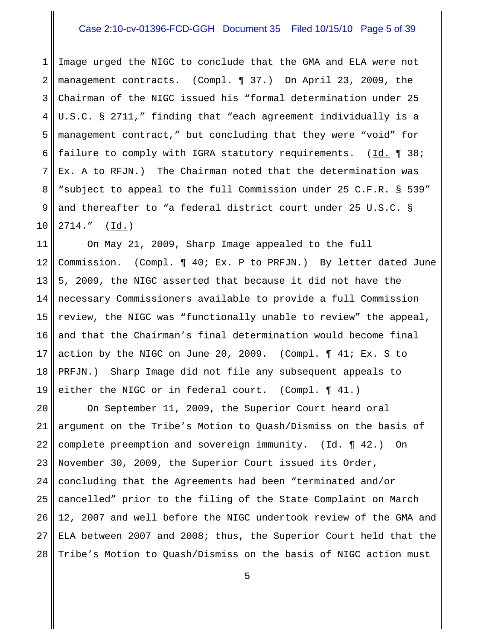## Case 2:10-cv-01396-FCD-GGH Document 35 Filed 10/15/10 Page 5 of 39

1 2 3 4 5 6 7 8 9 10 Image urged the NIGC to conclude that the GMA and ELA were not management contracts. (Compl. ¶ 37.) On April 23, 2009, the Chairman of the NIGC issued his "formal determination under 25 U.S.C. § 2711," finding that "each agreement individually is a management contract," but concluding that they were "void" for failure to comply with IGRA statutory requirements.  $(Id. \P 38i)$ Ex. A to RFJN.) The Chairman noted that the determination was "subject to appeal to the full Commission under 25 C.F.R. § 539" and thereafter to "a federal district court under 25 U.S.C. §  $2714.$ " ( $\underline{Id.}$ )

11 12 13 14 15 16 17 18 19 On May 21, 2009, Sharp Image appealed to the full Commission. (Compl. ¶ 40; Ex. P to PRFJN.) By letter dated June 5, 2009, the NIGC asserted that because it did not have the necessary Commissioners available to provide a full Commission review, the NIGC was "functionally unable to review" the appeal, and that the Chairman's final determination would become final action by the NIGC on June 20, 2009. (Compl. ¶ 41; Ex. S to PRFJN.) Sharp Image did not file any subsequent appeals to either the NIGC or in federal court. (Compl. ¶ 41.)

20 21 22 23 24 25 26 27 28 On September 11, 2009, the Superior Court heard oral argument on the Tribe's Motion to Quash/Dismiss on the basis of complete preemption and sovereign immunity.  $(Id. \P 42.)$  On November 30, 2009, the Superior Court issued its Order, concluding that the Agreements had been "terminated and/or cancelled" prior to the filing of the State Complaint on March 12, 2007 and well before the NIGC undertook review of the GMA and ELA between 2007 and 2008; thus, the Superior Court held that the Tribe's Motion to Quash/Dismiss on the basis of NIGC action must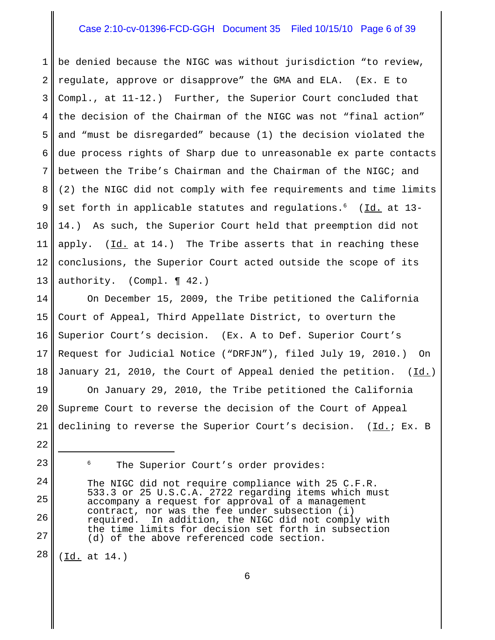## Case 2:10-cv-01396-FCD-GGH Document 35 Filed 10/15/10 Page 6 of 39

1 2 3 4 5 6 7 8 9 10 11 12 13 be denied because the NIGC was without jurisdiction "to review, regulate, approve or disapprove" the GMA and ELA. (Ex. E to Compl., at 11-12.) Further, the Superior Court concluded that the decision of the Chairman of the NIGC was not "final action" and "must be disregarded" because (1) the decision violated the due process rights of Sharp due to unreasonable ex parte contacts between the Tribe's Chairman and the Chairman of the NIGC; and (2) the NIGC did not comply with fee requirements and time limits set forth in applicable statutes and regulations.<sup>6</sup> (Id. at 13-14.) As such, the Superior Court held that preemption did not apply.  $(\underline{Id.}]$  at  $14.$ ) The Tribe asserts that in reaching these conclusions, the Superior Court acted outside the scope of its authority. (Compl. ¶ 42.)

14 15 16 17 On December 15, 2009, the Tribe petitioned the California Court of Appeal, Third Appellate District, to overturn the Superior Court's decision. (Ex. A to Def. Superior Court's Request for Judicial Notice ("DRFJN"), filed July 19, 2010.) On January 21, 2010, the Court of Appeal denied the petition.  $(Id.)$ On January 29, 2010, the Tribe petitioned the California Supreme Court to reverse the decision of the Court of Appeal declining to reverse the Superior Court's decision. (Id.; Ex. B

25

26

27

<sup>6</sup> The Superior Court's order provides:

The NIGC did not require compliance with 25 C.F.R. 533.3 or 25 U.S.C.A. 2722 regarding items which must accompany a request for approval of a management contract, nor was the fee under subsection (i) required. In addition, the NIGC did not comply with the time limits for decision set forth in subsection (d) of the above referenced code section.

28 (Id. at 14.)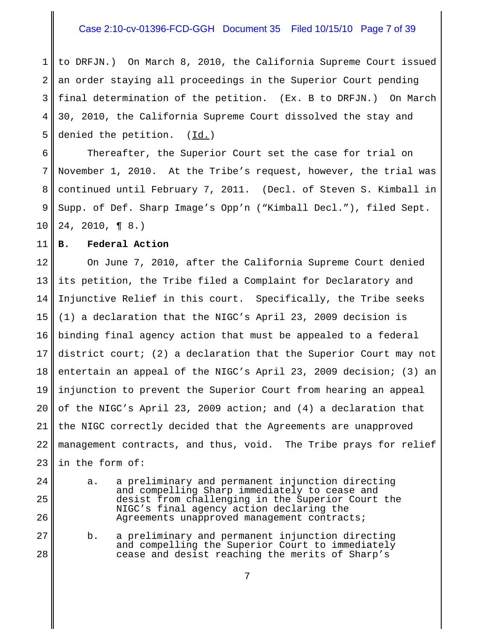#### Case 2:10-cv-01396-FCD-GGH Document 35 Filed 10/15/10 Page 7 of 39

1 2 3 4 5 to DRFJN.) On March 8, 2010, the California Supreme Court issued an order staying all proceedings in the Superior Court pending final determination of the petition. (Ex. B to DRFJN.) On March 30, 2010, the California Supreme Court dissolved the stay and denied the petition. (Id.)

6 7 8 9 10 Thereafter, the Superior Court set the case for trial on November 1, 2010. At the Tribe's request, however, the trial was continued until February 7, 2011. (Decl. of Steven S. Kimball in Supp. of Def. Sharp Image's Opp'n ("Kimball Decl."), filed Sept. 24, 2010, ¶ 8.)

11 **B. Federal Action**

12 13 14 15 16 17 18 19 20 21 22 23 On June 7, 2010, after the California Supreme Court denied its petition, the Tribe filed a Complaint for Declaratory and Injunctive Relief in this court. Specifically, the Tribe seeks (1) a declaration that the NIGC's April 23, 2009 decision is binding final agency action that must be appealed to a federal district court; (2) a declaration that the Superior Court may not entertain an appeal of the NIGC's April 23, 2009 decision; (3) an injunction to prevent the Superior Court from hearing an appeal of the NIGC's April 23, 2009 action; and (4) a declaration that the NIGC correctly decided that the Agreements are unapproved management contracts, and thus, void. The Tribe prays for relief in the form of:

24 25

26

27

- a. a preliminary and permanent injunction directing and compelling Sharp immediately to cease and desist from challenging in the Superior Court the NIGC's final agency action declaring the Agreements unapproved management contracts;
- b. a preliminary and permanent injunction directing and compelling the Superior Court to immediately cease and desist reaching the merits of Sharp's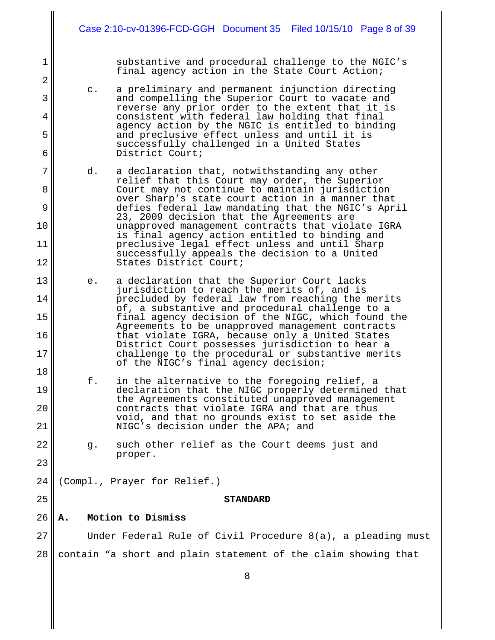|                |                | Case 2:10-cv-01396-FCD-GGH  Document 35  Filed 10/15/10  Page 8 of 39                                                                                   |
|----------------|----------------|---------------------------------------------------------------------------------------------------------------------------------------------------------|
| 1              |                | substantive and procedural challenge to the NGIC's<br>final agency action in the State Court Action;                                                    |
| $\overline{2}$ | $\mathsf{C}$ . | a preliminary and permanent injunction directing                                                                                                        |
| 3              |                | and compelling the Superior Court to vacate and<br>reverse any prior order to the extent that it is                                                     |
| 4              |                | consistent with federal law holding that final<br>agency action by the NGIC is entitled to binding                                                      |
| 5<br>6         |                | and preclusive effect unless and until it is<br>successfully challenged in a United States<br>District Court;                                           |
| 7              | d.             | a declaration that, notwithstanding any other                                                                                                           |
| 8              |                | relief that this Court may order, the Superior<br>Court may not continue to maintain jurisdiction                                                       |
| 9              |                | over Sharp's state court action in a manner that<br>defies federal law mandating that the NGIC's April                                                  |
| 10             |                | 23, 2009 decision that the Agreements are<br>unapproved management contracts that violate IGRA                                                          |
| 11             |                | is final agency action entitled to binding and<br>preclusive legal effect unless and until Sharp                                                        |
| 12             |                | successfully appeals the decision to a United<br>States District Court;                                                                                 |
| 13             | e.             | a declaration that the Superior Court lacks<br>jurisdiction to reach the merits of, and is                                                              |
| 14             |                | precluded by federal law from reaching the merits<br>of, a substantive and procedural challenge to a                                                    |
| 15             |                | final agency decision of the NIGC, which found the<br>Agreements to be unapproved management contracts                                                  |
| 16             |                | that violate IGRA, because only a United States<br>District Court possesses jurisdiction to hear a                                                      |
| 17             |                | challenge to the procedural or substantive merits<br>of the NIGC's final agency decision;                                                               |
| 18             | f.             | in the alternative to the foregoing relief, a                                                                                                           |
| 19<br>20       |                | declaration that the NIGC properly determined that<br>the Agreements constituted unapproved management<br>contracts that violate IGRA and that are thus |
| 21             |                | void, and that no grounds exist to set aside the<br>NIGC's decision under the APA; and                                                                  |
| 22             | g.             | such other relief as the Court deems just and                                                                                                           |
| 23             |                | proper.                                                                                                                                                 |
| 24             |                | (Compl., Prayer for Relief.)                                                                                                                            |
| 25             |                | <b>STANDARD</b>                                                                                                                                         |
| 26             | Α.             | Motion to Dismiss                                                                                                                                       |
| 27             |                | Under Federal Rule of Civil Procedure 8(a), a pleading must                                                                                             |
| 28             |                | contain "a short and plain statement of the claim showing that                                                                                          |
|                |                | 8                                                                                                                                                       |
|                |                |                                                                                                                                                         |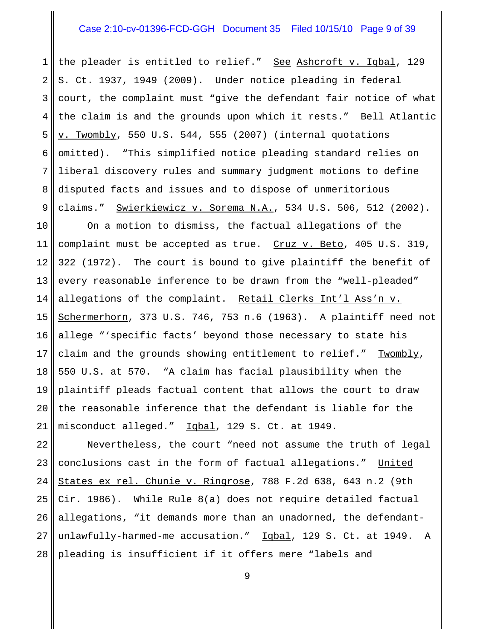### Case 2:10-cv-01396-FCD-GGH Document 35 Filed 10/15/10 Page 9 of 39

1 2 3 4 5 6 7 8 9 the pleader is entitled to relief." See Ashcroft v. Iqbal, 129 S. Ct. 1937, 1949 (2009). Under notice pleading in federal court, the complaint must "give the defendant fair notice of what the claim is and the grounds upon which it rests." Bell Atlantic v. Twombly, 550 U.S. 544, 555 (2007) (internal quotations omitted). "This simplified notice pleading standard relies on liberal discovery rules and summary judgment motions to define disputed facts and issues and to dispose of unmeritorious claims." Swierkiewicz v. Sorema N.A., 534 U.S. 506, 512 (2002).

10 11 12 13 14 15 16 17 18 19 20 21 On a motion to dismiss, the factual allegations of the complaint must be accepted as true. Cruz v. Beto, 405 U.S. 319, 322 (1972). The court is bound to give plaintiff the benefit of every reasonable inference to be drawn from the "well-pleaded" allegations of the complaint. Retail Clerks Int'l Ass'n v. Schermerhorn, 373 U.S. 746, 753 n.6 (1963). A plaintiff need not allege "'specific facts' beyond those necessary to state his claim and the grounds showing entitlement to relief." Twombly, 550 U.S. at 570. "A claim has facial plausibility when the plaintiff pleads factual content that allows the court to draw the reasonable inference that the defendant is liable for the misconduct alleged." Iqbal, 129 S. Ct. at 1949.

22 23 24 25 26 27 28 Nevertheless, the court "need not assume the truth of legal conclusions cast in the form of factual allegations." United States ex rel. Chunie v. Ringrose, 788 F.2d 638, 643 n.2 (9th Cir. 1986). While Rule 8(a) does not require detailed factual allegations, "it demands more than an unadorned, the defendantunlawfully-harmed-me accusation." Iqbal, 129 S. Ct. at 1949. A pleading is insufficient if it offers mere "labels and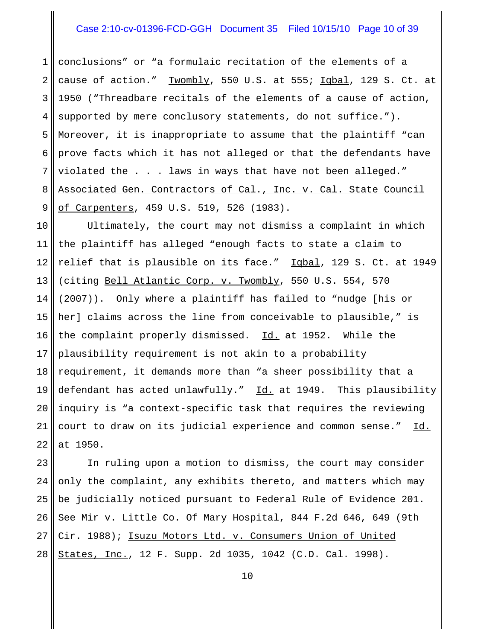## Case 2:10-cv-01396-FCD-GGH Document 35 Filed 10/15/10 Page 10 of 39

1 2 3 4 5 6 7 8 9 conclusions" or "a formulaic recitation of the elements of a cause of action." Twombly, 550 U.S. at 555; Iqbal, 129 S. Ct. at 1950 ("Threadbare recitals of the elements of a cause of action, supported by mere conclusory statements, do not suffice."). Moreover, it is inappropriate to assume that the plaintiff "can prove facts which it has not alleged or that the defendants have violated the . . . laws in ways that have not been alleged." Associated Gen. Contractors of Cal., Inc. v. Cal. State Council of Carpenters, 459 U.S. 519, 526 (1983).

10 11 12 13 14 15 16 17 18 19 20 21 22 Ultimately, the court may not dismiss a complaint in which the plaintiff has alleged "enough facts to state a claim to relief that is plausible on its face." Iqbal, 129 S. Ct. at 1949 (citing Bell Atlantic Corp. v. Twombly, 550 U.S. 554, 570 (2007)). Only where a plaintiff has failed to "nudge [his or her] claims across the line from conceivable to plausible," is the complaint properly dismissed. Id. at 1952. While the plausibility requirement is not akin to a probability requirement, it demands more than "a sheer possibility that a defendant has acted unlawfully." Id. at 1949. This plausibility inquiry is "a context-specific task that requires the reviewing court to draw on its judicial experience and common sense." Id. at 1950.

23 24 25 26 27 28 In ruling upon a motion to dismiss, the court may consider only the complaint, any exhibits thereto, and matters which may be judicially noticed pursuant to Federal Rule of Evidence 201. See Mir v. Little Co. Of Mary Hospital, 844 F.2d 646, 649 (9th Cir. 1988); Isuzu Motors Ltd. v. Consumers Union of United States, Inc., 12 F. Supp. 2d 1035, 1042 (C.D. Cal. 1998).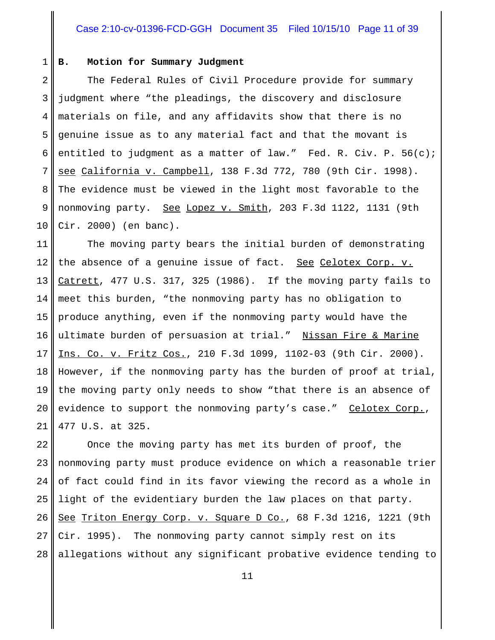#### 1 **B. Motion for Summary Judgment**

2 3 4 5 6 7 8 9 10 The Federal Rules of Civil Procedure provide for summary judgment where "the pleadings, the discovery and disclosure materials on file, and any affidavits show that there is no genuine issue as to any material fact and that the movant is entitled to judgment as a matter of law." Fed. R. Civ. P.  $56(c)$ ; see California v. Campbell, 138 F.3d 772, 780 (9th Cir. 1998). The evidence must be viewed in the light most favorable to the nonmoving party. See Lopez v. Smith, 203 F.3d 1122, 1131 (9th Cir. 2000) (en banc).

11 12 13 14 15 16 17 18 19 20 21 The moving party bears the initial burden of demonstrating the absence of a genuine issue of fact. See Celotex Corp. v. Catrett, 477 U.S. 317, 325 (1986). If the moving party fails to meet this burden, "the nonmoving party has no obligation to produce anything, even if the nonmoving party would have the ultimate burden of persuasion at trial." Nissan Fire & Marine Ins. Co. v. Fritz Cos., 210 F.3d 1099, 1102-03 (9th Cir. 2000). However, if the nonmoving party has the burden of proof at trial, the moving party only needs to show "that there is an absence of evidence to support the nonmoving party's case." Celotex Corp., 477 U.S. at 325.

22 23 24 25 26 27 28 Once the moving party has met its burden of proof, the nonmoving party must produce evidence on which a reasonable trier of fact could find in its favor viewing the record as a whole in light of the evidentiary burden the law places on that party. See Triton Energy Corp. v. Square D Co., 68 F.3d 1216, 1221 (9th Cir. 1995). The nonmoving party cannot simply rest on its allegations without any significant probative evidence tending to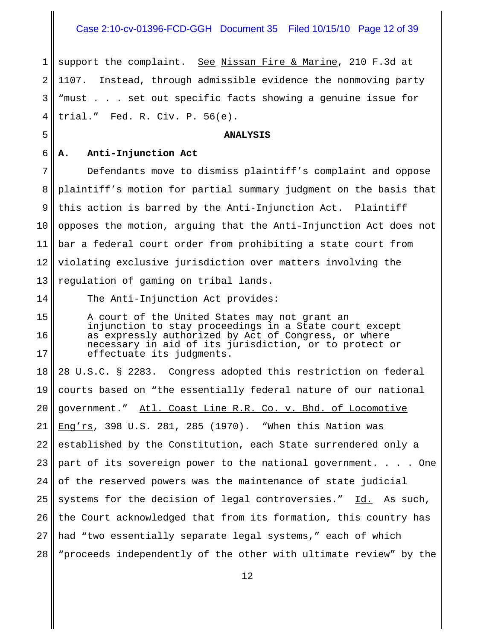#### Case 2:10-cv-01396-FCD-GGH Document 35 Filed 10/15/10 Page 12 of 39

1 2 3 4 support the complaint. See Nissan Fire & Marine, 210 F.3d at 1107. Instead, through admissible evidence the nonmoving party "must . . . set out specific facts showing a genuine issue for trial." Fed. R. Civ. P. 56(e).

#### **ANALYSIS**

#### 6 **A. Anti-Injunction Act**

7 8 9 10 11 12 13 Defendants move to dismiss plaintiff's complaint and oppose plaintiff's motion for partial summary judgment on the basis that this action is barred by the Anti-Injunction Act. Plaintiff opposes the motion, arguing that the Anti-Injunction Act does not bar a federal court order from prohibiting a state court from violating exclusive jurisdiction over matters involving the regulation of gaming on tribal lands.

14

15

16

17

5

The Anti-Injunction Act provides:

A court of the United States may not grant an injunction to stay proceedings in a State court except as expressly authorized by Act of Congress, or where necessary in aid of its jurisdiction, or to protect or effectuate its judgments.

18 19 20 21 22 23 24 25 26 27 28 28 U.S.C. § 2283. Congress adopted this restriction on federal courts based on "the essentially federal nature of our national government." Atl. Coast Line R.R. Co. v. Bhd. of Locomotive Eng'rs, 398 U.S. 281, 285 (1970). "When this Nation was established by the Constitution, each State surrendered only a part of its sovereign power to the national government. . . . One of the reserved powers was the maintenance of state judicial systems for the decision of legal controversies." Id. As such, the Court acknowledged that from its formation, this country has had "two essentially separate legal systems," each of which "proceeds independently of the other with ultimate review" by the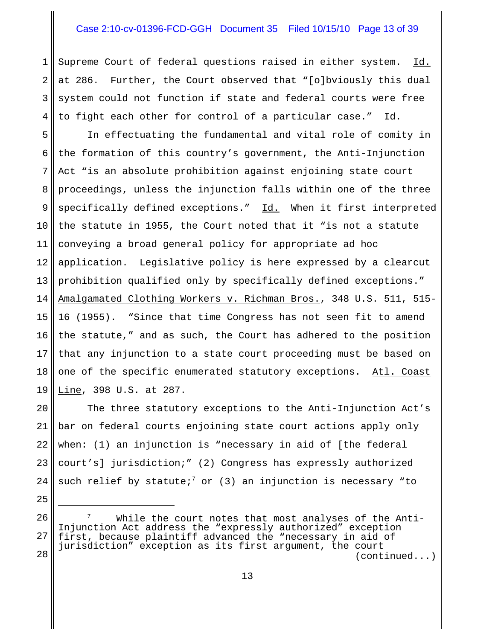### Case 2:10-cv-01396-FCD-GGH Document 35 Filed 10/15/10 Page 13 of 39

1 2 3 4 Supreme Court of federal questions raised in either system. Id. at 286. Further, the Court observed that "[o]bviously this dual system could not function if state and federal courts were free to fight each other for control of a particular case." Id.

5 6 7 8 9 10 11 12 13 14 15 16 17 18 19 In effectuating the fundamental and vital role of comity in the formation of this country's government, the Anti-Injunction Act "is an absolute prohibition against enjoining state court proceedings, unless the injunction falls within one of the three specifically defined exceptions." Id. When it first interpreted the statute in 1955, the Court noted that it "is not a statute conveying a broad general policy for appropriate ad hoc application. Legislative policy is here expressed by a clearcut prohibition qualified only by specifically defined exceptions." Amalgamated Clothing Workers v. Richman Bros., 348 U.S. 511, 515- 16 (1955). "Since that time Congress has not seen fit to amend the statute," and as such, the Court has adhered to the position that any injunction to a state court proceeding must be based on one of the specific enumerated statutory exceptions. Atl. Coast Line, 398 U.S. at 287.

20 21 22 23 24 The three statutory exceptions to the Anti-Injunction Act's bar on federal courts enjoining state court actions apply only when: (1) an injunction is "necessary in aid of [the federal court's] jurisdiction;" (2) Congress has expressly authorized such relief by statute; $^7$  or (3) an injunction is necessary "to

<sup>26</sup> 27 28 While the court notes that most analyses of the Anti-Injunction Act address the "expressly authorized" exception first, because plaintiff advanced the "necessary in aid of jurisdiction" exception as its first argument, the court (continued...)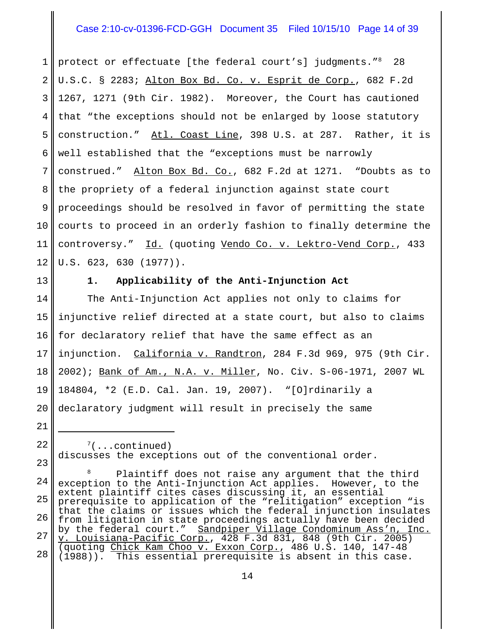#### Case 2:10-cv-01396-FCD-GGH Document 35 Filed 10/15/10 Page 14 of 39

1 2 3 4 5 6 7 8 9 10 11 12 protect or effectuate [the federal court's] judgments."<sup>8</sup> 28 U.S.C. § 2283; Alton Box Bd. Co. v. Esprit de Corp., 682 F.2d 1267, 1271 (9th Cir. 1982). Moreover, the Court has cautioned that "the exceptions should not be enlarged by loose statutory construction." Atl. Coast Line, 398 U.S. at 287. Rather, it is well established that the "exceptions must be narrowly construed." Alton Box Bd. Co., 682 F.2d at 1271. "Doubts as to the propriety of a federal injunction against state court proceedings should be resolved in favor of permitting the state courts to proceed in an orderly fashion to finally determine the controversy." Id. (quoting Vendo Co. v. Lektro-Vend Corp., 433 U.S. 623, 630 (1977)).

13

21

22

23

#### **1. Applicability of the Anti-Injunction Act**

14 15 16 17 18 19 20 The Anti-Injunction Act applies not only to claims for injunctive relief directed at a state court, but also to claims for declaratory relief that have the same effect as an injunction. California v. Randtron, 284 F.3d 969, 975 (9th Cir. 2002); Bank of Am., N.A. v. Miller, No. Civ. S-06-1971, 2007 WL 184804, \*2 (E.D. Cal. Jan. 19, 2007). "[O]rdinarily a declaratory judgment will result in precisely the same

 $7($ ...continued) discusses the exceptions out of the conventional order.

24 25 26 27 28 Plaintiff does not raise any argument that the third exception to the Anti-Injunction Act applies. However, to the extent plaintiff cites cases discussing it, an essential prerequisite to application of the "relitigation" exception "is that the claims or issues which the federal injunction insulates from litigation in state proceedings actually have been decided by the federal court." Sandpiper Village Condominum Ass'n, Inc. v. Louisiana-Pacific Corp., 428 F.3d 831, 848 (9th Cir. 2005) (quoting Chick Kam Choo v. Exxon Corp., 486 U.S. 140, 147-48 (1988)). This essential prerequisite is absent in this case.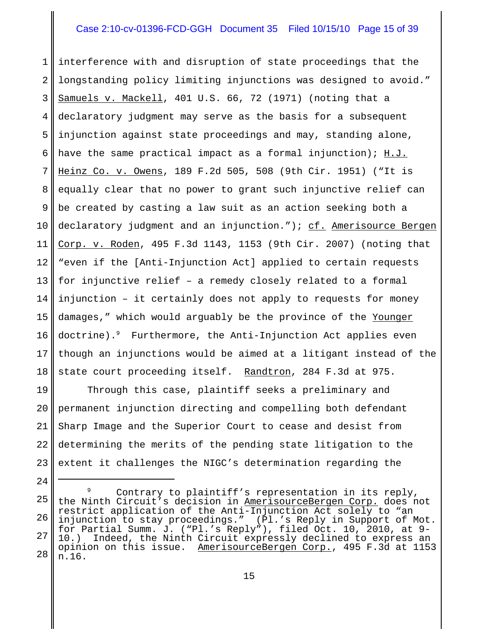### Case 2:10-cv-01396-FCD-GGH Document 35 Filed 10/15/10 Page 15 of 39

1 2 3 4 5 6 7 8 9 10 11 12 13 14 15 16 17 18 interference with and disruption of state proceedings that the longstanding policy limiting injunctions was designed to avoid." Samuels v. Mackell, 401 U.S. 66, 72 (1971) (noting that a declaratory judgment may serve as the basis for a subsequent injunction against state proceedings and may, standing alone, have the same practical impact as a formal injunction);  $H.J.$ Heinz Co. v. Owens, 189 F.2d 505, 508 (9th Cir. 1951) ("It is equally clear that no power to grant such injunctive relief can be created by casting a law suit as an action seeking both a declaratory judgment and an injunction."); cf. Amerisource Bergen Corp. v. Roden, 495 F.3d 1143, 1153 (9th Cir. 2007) (noting that "even if the [Anti-Injunction Act] applied to certain requests for injunctive relief – a remedy closely related to a formal injunction – it certainly does not apply to requests for money damages," which would arguably be the province of the Younger doctrine).<sup>9</sup> Furthermore, the Anti-Injunction Act applies even though an injunctions would be aimed at a litigant instead of the state court proceeding itself. Randtron, 284 F.3d at 975.

19 20 21 22 23 Through this case, plaintiff seeks a preliminary and permanent injunction directing and compelling both defendant Sharp Image and the Superior Court to cease and desist from determining the merits of the pending state litigation to the extent it challenges the NIGC's determination regarding the

<sup>25</sup> 26 27 28 <sup>9</sup> Contrary to plaintiff's representation in its reply, the Ninth Circuit's decision in AmerisourceBergen Corp. does not restrict application of the Anti-Injunction Act solely to "an injunction to stay proceedings." (Pl.'s Reply in Support of Mot. for Partial Summ. J. ("Pl.'s Reply"), filed Oct. 10, 2010, at 9- Indeed, the Ninth Circuit expressly declined to express an opinion on this issue. AmerisourceBergen Corp., 495 F.3d at 1153 n.16.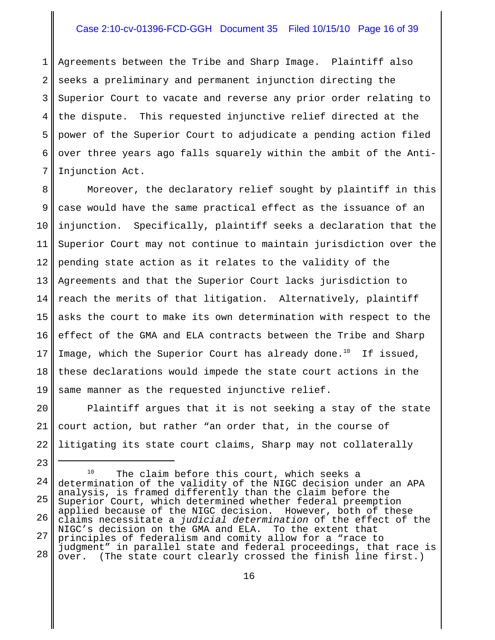## Case 2:10-cv-01396-FCD-GGH Document 35 Filed 10/15/10 Page 16 of 39

1 2 3 4 5 6 7 Agreements between the Tribe and Sharp Image. Plaintiff also seeks a preliminary and permanent injunction directing the Superior Court to vacate and reverse any prior order relating to the dispute. This requested injunctive relief directed at the power of the Superior Court to adjudicate a pending action filed over three years ago falls squarely within the ambit of the Anti-Injunction Act.

8 9 10 11 12 13 14 15 16 17 18 19 Moreover, the declaratory relief sought by plaintiff in this case would have the same practical effect as the issuance of an injunction. Specifically, plaintiff seeks a declaration that the Superior Court may not continue to maintain jurisdiction over the pending state action as it relates to the validity of the Agreements and that the Superior Court lacks jurisdiction to reach the merits of that litigation. Alternatively, plaintiff asks the court to make its own determination with respect to the effect of the GMA and ELA contracts between the Tribe and Sharp Image, which the Superior Court has already done.<sup>10</sup> If issued, these declarations would impede the state court actions in the same manner as the requested injunctive relief.

20 21 22 Plaintiff argues that it is not seeking a stay of the state court action, but rather "an order that, in the course of litigating its state court claims, Sharp may not collaterally

23

24 25 26 27 28 <sup>10</sup> The claim before this court, which seeks a determination of the validity of the NIGC decision under an APA analysis, is framed differently than the claim before the Superior Court, which determined whether federal preemption applied because of the NIGC decision. However, both of these claims necessitate a *judicial determination* of the effect of the NIGC's decision on the GMA and ELA. To the extent that principles of federalism and comity allow for a "race to judgment" in parallel state and federal proceedings, that race is over. (The state court clearly crossed the finish line first.)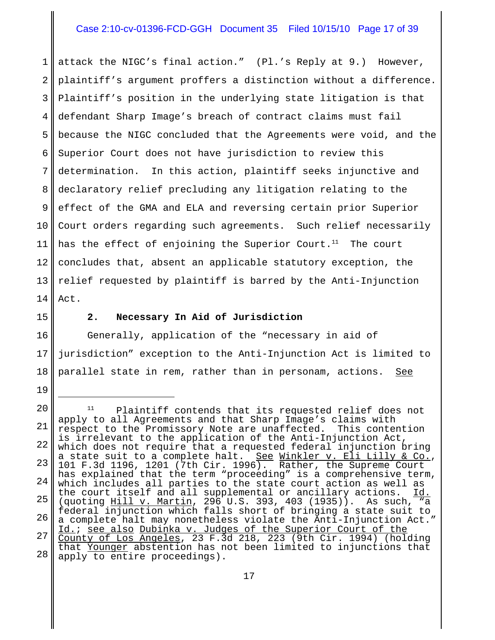### Case 2:10-cv-01396-FCD-GGH Document 35 Filed 10/15/10 Page 17 of 39

1 2 3 4 5 6 7 8 9 10 11 12 13 14 attack the NIGC's final action." (Pl.'s Reply at 9.) However, plaintiff's argument proffers a distinction without a difference. Plaintiff's position in the underlying state litigation is that defendant Sharp Image's breach of contract claims must fail because the NIGC concluded that the Agreements were void, and the Superior Court does not have jurisdiction to review this determination. In this action, plaintiff seeks injunctive and declaratory relief precluding any litigation relating to the effect of the GMA and ELA and reversing certain prior Superior Court orders regarding such agreements. Such relief necessarily has the effect of enjoining the Superior Court.<sup>11</sup> The court concludes that, absent an applicable statutory exception, the relief requested by plaintiff is barred by the Anti-Injunction Act.

15

19

## **2. Necessary In Aid of Jurisdiction**

16 17 18 Generally, application of the "necessary in aid of jurisdiction" exception to the Anti-Injunction Act is limited to parallel state in rem, rather than in personam, actions. See

<sup>20</sup> 21 22 23 24 25 26 27 28 Plaintiff contends that its requested relief does not apply to all Agreements and that Sharp Image's claims with respect to the Promissory Note are unaffected. This contention is irrelevant to the application of the Anti-Injunction Act, which does not require that a requested federal injunction bring a state suit to a complete halt. <u>See Winkler v. Eli Lilly & Co.</u>,<br>101 F.3d 1196, 1201 (7th Cir. 1996). Rather, the Supreme Court has explained that the term "proceeding" is a comprehensive term, which includes all parties to the state court action as well as the court itself and all supplemental or ancillary actions. Id. (quoting Hill v. Martin, 296 U.S. 393, 403 (1935)). As such, "a federal injunction which falls short of bringing a state suit to a complete halt may nonetheless violate the Anti-Injunction Act." Id.; see also Dubinka v. Judges of the Superior Court of the County of Los Angeles, 23 F.3d 218, 223 (9th Cir. 1994) (holding that Younger abstention has not been limited to injunctions that apply to entire proceedings).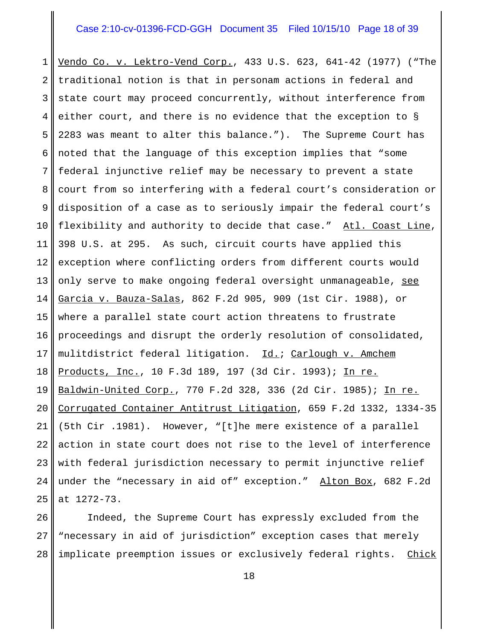#### Case 2:10-cv-01396-FCD-GGH Document 35 Filed 10/15/10 Page 18 of 39

1 2 3 4 5 6 7 8 9 10 11 12 13 14 15 16 17 18 19 20 21 22 23 24 25 Vendo Co. v. Lektro-Vend Corp., 433 U.S. 623, 641-42 (1977) ("The traditional notion is that in personam actions in federal and state court may proceed concurrently, without interference from either court, and there is no evidence that the exception to § 2283 was meant to alter this balance."). The Supreme Court has noted that the language of this exception implies that "some federal injunctive relief may be necessary to prevent a state court from so interfering with a federal court's consideration or disposition of a case as to seriously impair the federal court's flexibility and authority to decide that case." Atl. Coast Line, 398 U.S. at 295. As such, circuit courts have applied this exception where conflicting orders from different courts would only serve to make ongoing federal oversight unmanageable, see Garcia v. Bauza-Salas, 862 F.2d 905, 909 (1st Cir. 1988), or where a parallel state court action threatens to frustrate proceedings and disrupt the orderly resolution of consolidated, mulitdistrict federal litigation. Id.; Carlough v. Amchem Products, Inc., 10 F.3d 189, 197 (3d Cir. 1993); In re. Baldwin-United Corp., 770 F.2d 328, 336 (2d Cir. 1985); In re. Corrugated Container Antitrust Litigation, 659 F.2d 1332, 1334-35 (5th Cir .1981). However, "[t]he mere existence of a parallel action in state court does not rise to the level of interference with federal jurisdiction necessary to permit injunctive relief under the "necessary in aid of" exception." Alton Box, 682 F.2d at 1272-73.

26 27 28 Indeed, the Supreme Court has expressly excluded from the "necessary in aid of jurisdiction" exception cases that merely implicate preemption issues or exclusively federal rights. Chick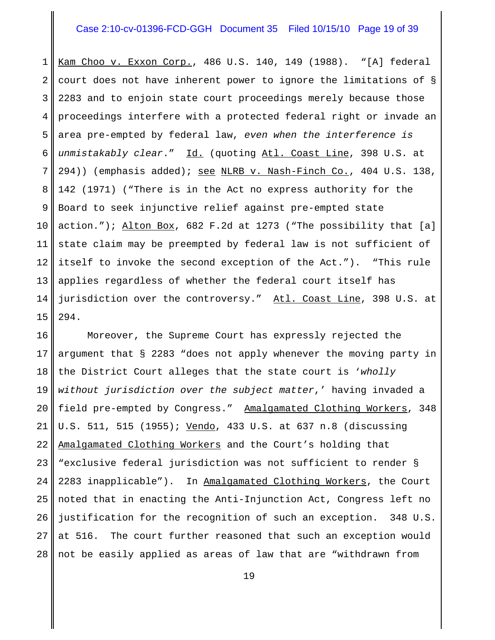### Case 2:10-cv-01396-FCD-GGH Document 35 Filed 10/15/10 Page 19 of 39

1 2 3 4 5 6 7 8 9 10 11 12 13 14 15 Kam Choo v. Exxon Corp., 486 U.S. 140, 149 (1988). "[A] federal court does not have inherent power to ignore the limitations of § 2283 and to enjoin state court proceedings merely because those proceedings interfere with a protected federal right or invade an area pre-empted by federal law, *even when the interference is unmistakably clear*." Id. (quoting Atl. Coast Line, 398 U.S. at 294)) (emphasis added); see NLRB v. Nash-Finch Co., 404 U.S. 138, 142 (1971) ("There is in the Act no express authority for the Board to seek injunctive relief against pre-empted state action."); Alton Box, 682 F.2d at 1273 ("The possibility that [a] state claim may be preempted by federal law is not sufficient of itself to invoke the second exception of the Act."). "This rule applies regardless of whether the federal court itself has jurisdiction over the controversy." Atl. Coast Line, 398 U.S. at 294.

16 17 18 19 20 21 22 23 24 25 26 27 28 Moreover, the Supreme Court has expressly rejected the argument that § 2283 "does not apply whenever the moving party in the District Court alleges that the state court is '*wholly without jurisdiction over the subject matter*,' having invaded a field pre-empted by Congress." Amalgamated Clothing Workers, 348 U.S. 511, 515 (1955); Vendo, 433 U.S. at 637 n.8 (discussing Amalgamated Clothing Workers and the Court's holding that "exclusive federal jurisdiction was not sufficient to render § 2283 inapplicable"). In Amalgamated Clothing Workers, the Court noted that in enacting the Anti-Injunction Act, Congress left no justification for the recognition of such an exception. 348 U.S. at 516. The court further reasoned that such an exception would not be easily applied as areas of law that are "withdrawn from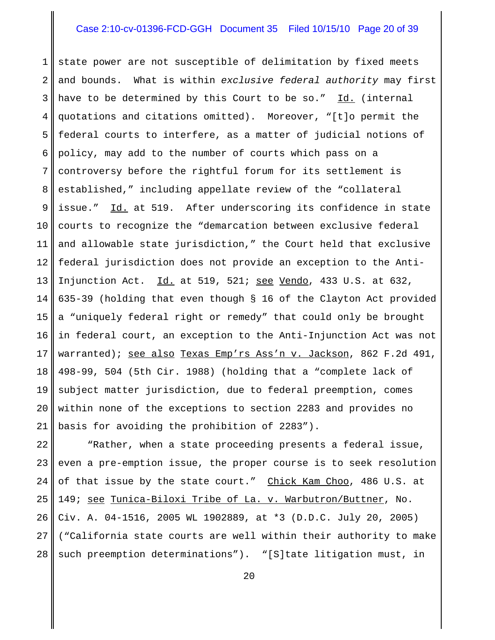#### Case 2:10-cv-01396-FCD-GGH Document 35 Filed 10/15/10 Page 20 of 39

1 2 3 4 5 6 7 8 9 10 11 12 13 14 15 16 17 18 19 20 21 state power are not susceptible of delimitation by fixed meets and bounds. What is within *exclusive federal authority* may first have to be determined by this Court to be so." Id. (internal quotations and citations omitted). Moreover, "[t]o permit the federal courts to interfere, as a matter of judicial notions of policy, may add to the number of courts which pass on a controversy before the rightful forum for its settlement is established," including appellate review of the "collateral issue." Id. at 519. After underscoring its confidence in state courts to recognize the "demarcation between exclusive federal and allowable state jurisdiction," the Court held that exclusive federal jurisdiction does not provide an exception to the Anti-Injunction Act.  $Id.$  at 519, 521; see Vendo, 433 U.S. at 632, 635-39 (holding that even though § 16 of the Clayton Act provided a "uniquely federal right or remedy" that could only be brought in federal court, an exception to the Anti-Injunction Act was not warranted); see also Texas Emp'rs Ass'n v. Jackson, 862 F.2d 491, 498-99, 504 (5th Cir. 1988) (holding that a "complete lack of subject matter jurisdiction, due to federal preemption, comes within none of the exceptions to section 2283 and provides no basis for avoiding the prohibition of 2283").

22 23 24 25 26 27 28 "Rather, when a state proceeding presents a federal issue, even a pre-emption issue, the proper course is to seek resolution of that issue by the state court." Chick Kam Choo, 486 U.S. at 149; see Tunica-Biloxi Tribe of La. v. Warbutron/Buttner, No. Civ. A. 04-1516, 2005 WL 1902889, at \*3 (D.D.C. July 20, 2005) ("California state courts are well within their authority to make such preemption determinations"). "[S]tate litigation must, in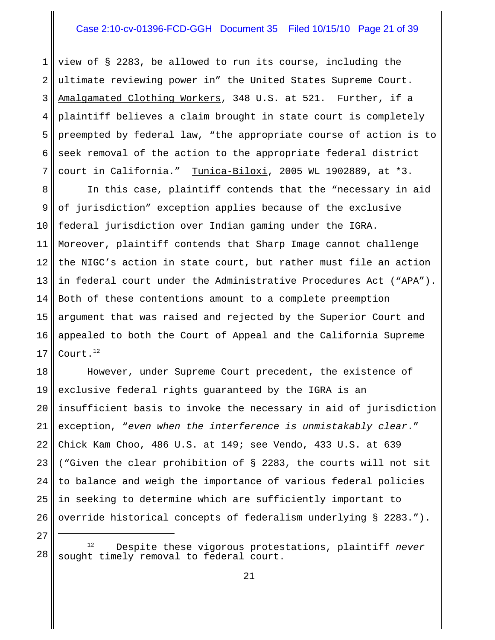#### Case 2:10-cv-01396-FCD-GGH Document 35 Filed 10/15/10 Page 21 of 39

1 2 3 4 5 6 7 view of § 2283, be allowed to run its course, including the ultimate reviewing power in" the United States Supreme Court. Amalgamated Clothing Workers, 348 U.S. at 521. Further, if a plaintiff believes a claim brought in state court is completely preempted by federal law, "the appropriate course of action is to seek removal of the action to the appropriate federal district court in California." Tunica-Biloxi, 2005 WL 1902889, at \*3.

8 9 10 11 12 13 14 15 16 17 In this case, plaintiff contends that the "necessary in aid of jurisdiction" exception applies because of the exclusive federal jurisdiction over Indian gaming under the IGRA. Moreover, plaintiff contends that Sharp Image cannot challenge the NIGC's action in state court, but rather must file an action in federal court under the Administrative Procedures Act ("APA"). Both of these contentions amount to a complete preemption argument that was raised and rejected by the Superior Court and appealed to both the Court of Appeal and the California Supreme Court.<sup>12</sup>

18 19 20 21 22 23 24 25 26 However, under Supreme Court precedent, the existence of exclusive federal rights guaranteed by the IGRA is an insufficient basis to invoke the necessary in aid of jurisdiction exception, "*even when the interference is unmistakably clear*." Chick Kam Choo, 486 U.S. at 149; see Vendo, 433 U.S. at 639 ("Given the clear prohibition of § 2283, the courts will not sit to balance and weigh the importance of various federal policies in seeking to determine which are sufficiently important to override historical concepts of federalism underlying § 2283.").

27

<sup>12</sup> Despite these vigorous protestations, plaintiff *never* sought timely removal to federal court.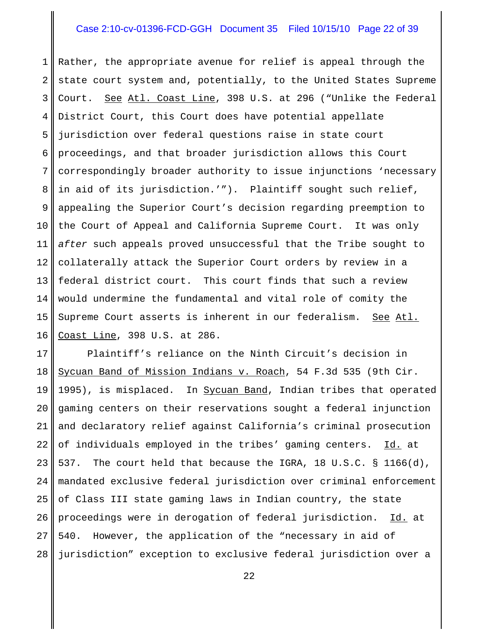#### Case 2:10-cv-01396-FCD-GGH Document 35 Filed 10/15/10 Page 22 of 39

1 2 3 4 5 6 7 8 9 10 11 12 13 14 15 16 Rather, the appropriate avenue for relief is appeal through the state court system and, potentially, to the United States Supreme Court. See Atl. Coast Line, 398 U.S. at 296 ("Unlike the Federal District Court, this Court does have potential appellate jurisdiction over federal questions raise in state court proceedings, and that broader jurisdiction allows this Court correspondingly broader authority to issue injunctions 'necessary in aid of its jurisdiction.'"). Plaintiff sought such relief, appealing the Superior Court's decision regarding preemption to the Court of Appeal and California Supreme Court. It was only *after* such appeals proved unsuccessful that the Tribe sought to collaterally attack the Superior Court orders by review in a federal district court. This court finds that such a review would undermine the fundamental and vital role of comity the Supreme Court asserts is inherent in our federalism. See Atl. Coast Line, 398 U.S. at 286.

17 18 19 20 21 22 23 24 25 26 27 28 Plaintiff's reliance on the Ninth Circuit's decision in Sycuan Band of Mission Indians v. Roach, 54 F.3d 535 (9th Cir. 1995), is misplaced. In Sycuan Band, Indian tribes that operated gaming centers on their reservations sought a federal injunction and declaratory relief against California's criminal prosecution of individuals employed in the tribes' gaming centers. Id. at 537. The court held that because the IGRA, 18 U.S.C. § 1166(d), mandated exclusive federal jurisdiction over criminal enforcement of Class III state gaming laws in Indian country, the state proceedings were in derogation of federal jurisdiction. Id. at 540. However, the application of the "necessary in aid of jurisdiction" exception to exclusive federal jurisdiction over a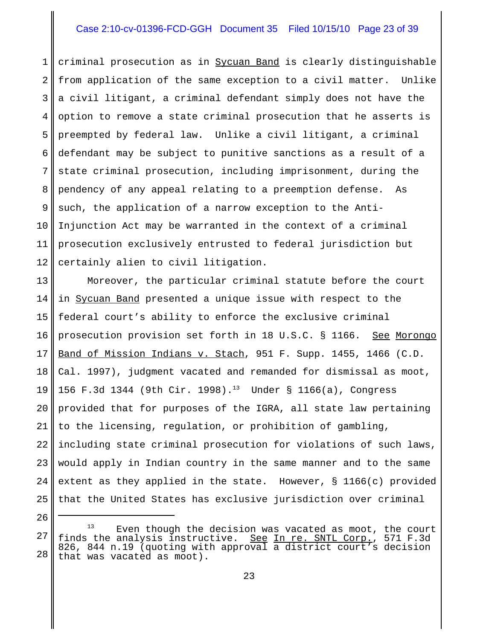#### Case 2:10-cv-01396-FCD-GGH Document 35 Filed 10/15/10 Page 23 of 39

1 2 3 4 5 6 7 8 9 10 11 12 criminal prosecution as in Sycuan Band is clearly distinguishable from application of the same exception to a civil matter. Unlike a civil litigant, a criminal defendant simply does not have the option to remove a state criminal prosecution that he asserts is preempted by federal law. Unlike a civil litigant, a criminal defendant may be subject to punitive sanctions as a result of a state criminal prosecution, including imprisonment, during the pendency of any appeal relating to a preemption defense. As such, the application of a narrow exception to the Anti-Injunction Act may be warranted in the context of a criminal prosecution exclusively entrusted to federal jurisdiction but certainly alien to civil litigation.

13 14 15 16 17 18 19 20 21 22 23 24 25 Moreover, the particular criminal statute before the court in Sycuan Band presented a unique issue with respect to the federal court's ability to enforce the exclusive criminal prosecution provision set forth in 18 U.S.C. § 1166. See Morongo Band of Mission Indians v. Stach, 951 F. Supp. 1455, 1466 (C.D. Cal. 1997), judgment vacated and remanded for dismissal as moot, 156 F.3d 1344 (9th Cir. 1998).<sup>13</sup> Under § 1166(a), Congress provided that for purposes of the IGRA, all state law pertaining to the licensing, regulation, or prohibition of gambling, including state criminal prosecution for violations of such laws, would apply in Indian country in the same manner and to the same extent as they applied in the state. However, § 1166(c) provided that the United States has exclusive jurisdiction over criminal

<sup>27</sup> 28 <sup>13</sup> Even though the decision was vacated as moot, the court finds the analysis instructive. <u>See In re. SNTL Corp.</u>, 571 F.3d See In re. SNTL Corp., 571 F.3d 826, 844 n.19 (quoting with approval a district court's decision that was vacated as moot).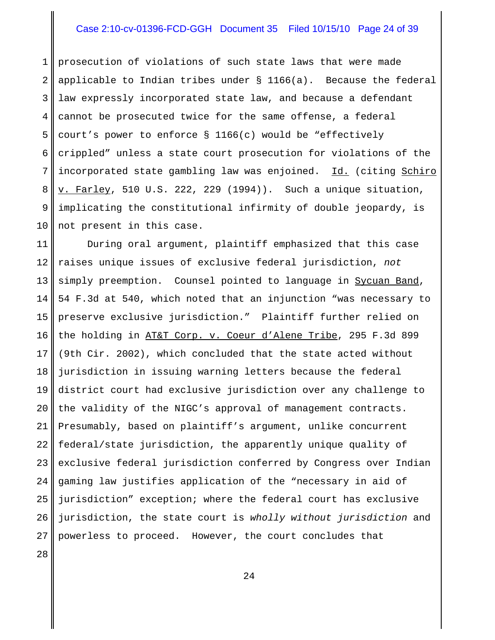# Case 2:10-cv-01396-FCD-GGH Document 35 Filed 10/15/10 Page 24 of 39

1 2 3 4 5 6 7 8 9 10 prosecution of violations of such state laws that were made applicable to Indian tribes under § 1166(a). Because the federal law expressly incorporated state law, and because a defendant cannot be prosecuted twice for the same offense, a federal court's power to enforce § 1166(c) would be "effectively crippled" unless a state court prosecution for violations of the incorporated state gambling law was enjoined. Id. (citing Schiro  $\underline{v.}$  Farley, 510 U.S. 222, 229 (1994)). Such a unique situation, implicating the constitutional infirmity of double jeopardy, is not present in this case.

11 12 13 14 15 16 17 18 19 20 21 22 23 24 25 26 27 During oral argument, plaintiff emphasized that this case raises unique issues of exclusive federal jurisdiction, *not* simply preemption. Counsel pointed to language in Sycuan Band, 54 F.3d at 540, which noted that an injunction "was necessary to preserve exclusive jurisdiction." Plaintiff further relied on the holding in AT&T Corp. v. Coeur d'Alene Tribe, 295 F.3d 899 (9th Cir. 2002), which concluded that the state acted without jurisdiction in issuing warning letters because the federal district court had exclusive jurisdiction over any challenge to the validity of the NIGC's approval of management contracts. Presumably, based on plaintiff's argument, unlike concurrent federal/state jurisdiction, the apparently unique quality of exclusive federal jurisdiction conferred by Congress over Indian gaming law justifies application of the "necessary in aid of jurisdiction" exception; where the federal court has exclusive jurisdiction, the state court is *wholly without jurisdiction* and powerless to proceed. However, the court concludes that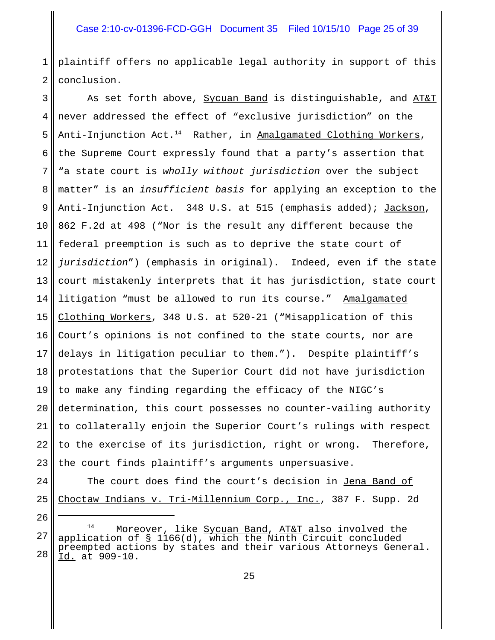1 2 plaintiff offers no applicable legal authority in support of this conclusion.

3 4 5 6 7 8 9 10 11 12 13 14 15 16 17 18 19 20 21 22 23 As set forth above, Sycuan Band is distinguishable, and AT&T never addressed the effect of "exclusive jurisdiction" on the Anti-Injunction Act.<sup>14</sup> Rather, in Amalgamated Clothing Workers, the Supreme Court expressly found that a party's assertion that "a state court is *wholly without jurisdiction* over the subject matter" is an *insufficient basis* for applying an exception to the Anti-Injunction Act. 348 U.S. at 515 (emphasis added); Jackson, 862 F.2d at 498 ("Nor is the result any different because the federal preemption is such as to deprive the state court of *jurisdiction*") (emphasis in original). Indeed, even if the state court mistakenly interprets that it has jurisdiction, state court litigation "must be allowed to run its course." Amalgamated Clothing Workers, 348 U.S. at 520-21 ("Misapplication of this Court's opinions is not confined to the state courts, nor are delays in litigation peculiar to them."). Despite plaintiff's protestations that the Superior Court did not have jurisdiction to make any finding regarding the efficacy of the NIGC's determination, this court possesses no counter-vailing authority to collaterally enjoin the Superior Court's rulings with respect to the exercise of its jurisdiction, right or wrong. Therefore, the court finds plaintiff's arguments unpersuasive.

24 25 The court does find the court's decision in Jena Band of Choctaw Indians v. Tri-Millennium Corp., Inc., 387 F. Supp. 2d

<sup>27</sup> 28 Moreover, like Sycuan Band, AT&T also involved the application of § 1166(d), which the Ninth Circuit concluded preempted actions by states and their various Attorneys General. Id. at 909-10.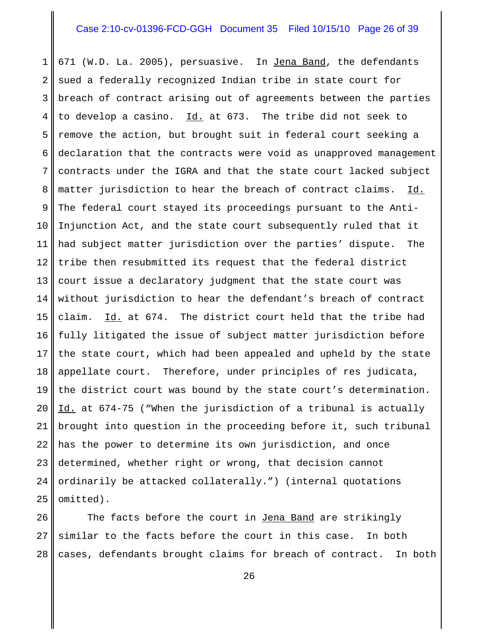# Case 2:10-cv-01396-FCD-GGH Document 35 Filed 10/15/10 Page 26 of 39

1 2 3 4 5 6 7 8 9 10 11 12 13 14 15 16 17 18 19 20 21 22 23 24 25 671 (W.D. La. 2005), persuasive. In Jena Band, the defendants sued a federally recognized Indian tribe in state court for breach of contract arising out of agreements between the parties to develop a casino. Id. at 673. The tribe did not seek to remove the action, but brought suit in federal court seeking a declaration that the contracts were void as unapproved management contracts under the IGRA and that the state court lacked subject matter jurisdiction to hear the breach of contract claims. Id. The federal court stayed its proceedings pursuant to the Anti-Injunction Act, and the state court subsequently ruled that it had subject matter jurisdiction over the parties' dispute. The tribe then resubmitted its request that the federal district court issue a declaratory judgment that the state court was without jurisdiction to hear the defendant's breach of contract claim. Id. at 674. The district court held that the tribe had fully litigated the issue of subject matter jurisdiction before the state court, which had been appealed and upheld by the state appellate court. Therefore, under principles of res judicata, the district court was bound by the state court's determination. Id. at 674-75 ("When the jurisdiction of a tribunal is actually brought into question in the proceeding before it, such tribunal has the power to determine its own jurisdiction, and once determined, whether right or wrong, that decision cannot ordinarily be attacked collaterally.") (internal quotations omitted).

26 27 28 The facts before the court in Jena Band are strikingly similar to the facts before the court in this case. In both cases, defendants brought claims for breach of contract. In both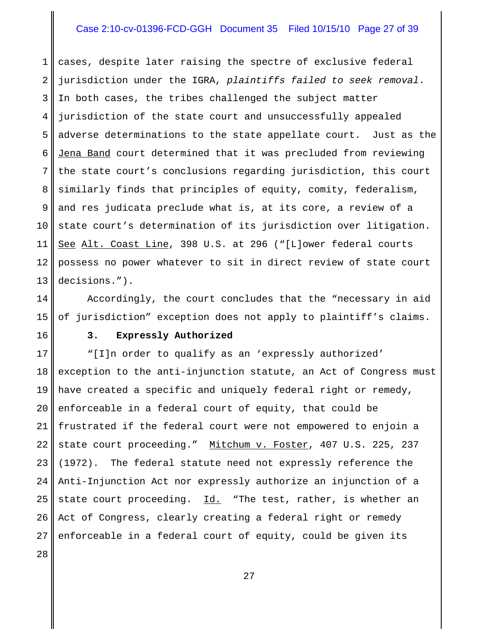#### Case 2:10-cv-01396-FCD-GGH Document 35 Filed 10/15/10 Page 27 of 39

1 2 3 4 5 6 7 8 9 10 11 12 13 cases, despite later raising the spectre of exclusive federal jurisdiction under the IGRA, *plaintiffs failed to seek removal*. In both cases, the tribes challenged the subject matter jurisdiction of the state court and unsuccessfully appealed adverse determinations to the state appellate court. Just as the Jena Band court determined that it was precluded from reviewing the state court's conclusions regarding jurisdiction, this court similarly finds that principles of equity, comity, federalism, and res judicata preclude what is, at its core, a review of a state court's determination of its jurisdiction over litigation. See Alt. Coast Line, 398 U.S. at 296 ("[L]ower federal courts possess no power whatever to sit in direct review of state court decisions.").

14 15 Accordingly, the court concludes that the "necessary in aid of jurisdiction" exception does not apply to plaintiff's claims.

#### **3. Expressly Authorized**

17 18 19 20 21 22 23 24 25 26 27 "[I]n order to qualify as an 'expressly authorized' exception to the anti-injunction statute, an Act of Congress must have created a specific and uniquely federal right or remedy, enforceable in a federal court of equity, that could be frustrated if the federal court were not empowered to enjoin a state court proceeding." Mitchum v. Foster, 407 U.S. 225, 237 (1972). The federal statute need not expressly reference the Anti-Injunction Act nor expressly authorize an injunction of a state court proceeding. Id. "The test, rather, is whether an Act of Congress, clearly creating a federal right or remedy enforceable in a federal court of equity, could be given its

28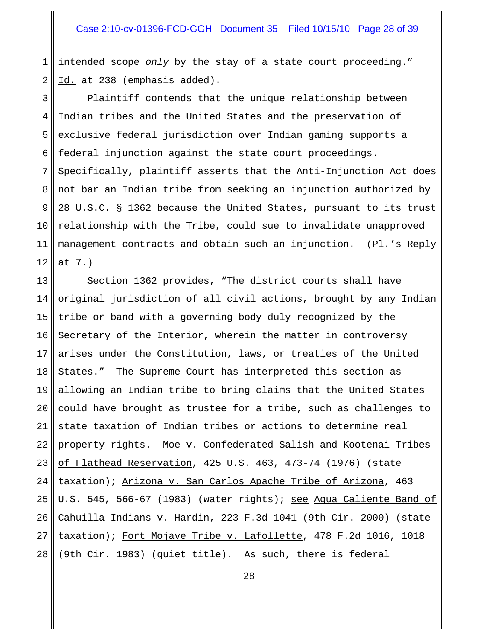1 2 intended scope *only* by the stay of a state court proceeding." Id. at 238 (emphasis added).

3 4 5 6 7 8 9 10 11 12 Plaintiff contends that the unique relationship between Indian tribes and the United States and the preservation of exclusive federal jurisdiction over Indian gaming supports a federal injunction against the state court proceedings. Specifically, plaintiff asserts that the Anti-Injunction Act does not bar an Indian tribe from seeking an injunction authorized by 28 U.S.C. § 1362 because the United States, pursuant to its trust relationship with the Tribe, could sue to invalidate unapproved management contracts and obtain such an injunction. (Pl.'s Reply at 7.)

13 14 15 16 17 18 19 20 21 22 23 24 25 26 27 28 Section 1362 provides, "The district courts shall have original jurisdiction of all civil actions, brought by any Indian tribe or band with a governing body duly recognized by the Secretary of the Interior, wherein the matter in controversy arises under the Constitution, laws, or treaties of the United States." The Supreme Court has interpreted this section as allowing an Indian tribe to bring claims that the United States could have brought as trustee for a tribe, such as challenges to state taxation of Indian tribes or actions to determine real property rights. Moe v. Confederated Salish and Kootenai Tribes of Flathead Reservation, 425 U.S. 463, 473-74 (1976) (state taxation); Arizona v. San Carlos Apache Tribe of Arizona, 463 U.S. 545, 566-67 (1983) (water rights); see Aqua Caliente Band of Cahuilla Indians v. Hardin, 223 F.3d 1041 (9th Cir. 2000) (state taxation); Fort Mojave Tribe v. Lafollette, 478 F.2d 1016, 1018 (9th Cir. 1983) (quiet title). As such, there is federal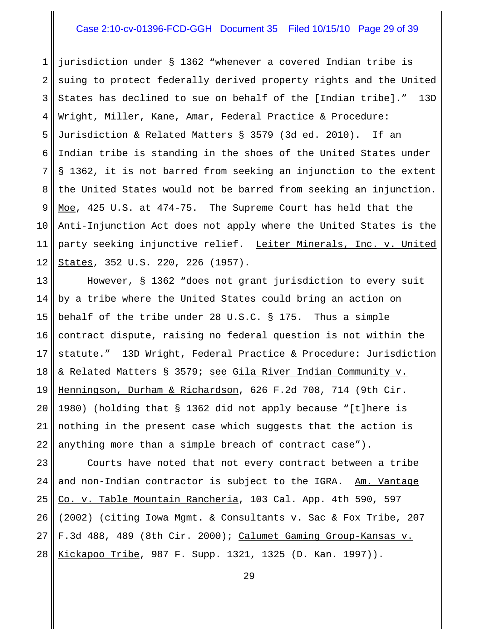#### Case 2:10-cv-01396-FCD-GGH Document 35 Filed 10/15/10 Page 29 of 39

1 2 3 4 5 6 7 8 9 10 11 12 jurisdiction under § 1362 "whenever a covered Indian tribe is suing to protect federally derived property rights and the United States has declined to sue on behalf of the [Indian tribe]." 13D Wright, Miller, Kane, Amar, Federal Practice & Procedure: Jurisdiction & Related Matters § 3579 (3d ed. 2010). If an Indian tribe is standing in the shoes of the United States under § 1362, it is not barred from seeking an injunction to the extent the United States would not be barred from seeking an injunction. Moe, 425 U.S. at 474-75. The Supreme Court has held that the Anti-Injunction Act does not apply where the United States is the party seeking injunctive relief. Leiter Minerals, Inc. v. United States, 352 U.S. 220, 226 (1957).

13 14 15 16 17 18 19 20 21 22 However, § 1362 "does not grant jurisdiction to every suit by a tribe where the United States could bring an action on behalf of the tribe under 28 U.S.C. § 175. Thus a simple contract dispute, raising no federal question is not within the statute." 13D Wright, Federal Practice & Procedure: Jurisdiction & Related Matters § 3579; see Gila River Indian Community v. Henningson, Durham & Richardson, 626 F.2d 708, 714 (9th Cir. 1980) (holding that § 1362 did not apply because "[t]here is nothing in the present case which suggests that the action is anything more than a simple breach of contract case").

23 24 25 26 27 28 Courts have noted that not every contract between a tribe and non-Indian contractor is subject to the IGRA. Am. Vantage Co. v. Table Mountain Rancheria, 103 Cal. App. 4th 590, 597 (2002) (citing Iowa Mgmt. & Consultants v. Sac & Fox Tribe, 207 F.3d 488, 489 (8th Cir. 2000); Calumet Gaming Group-Kansas v. Kickapoo Tribe, 987 F. Supp. 1321, 1325 (D. Kan. 1997)).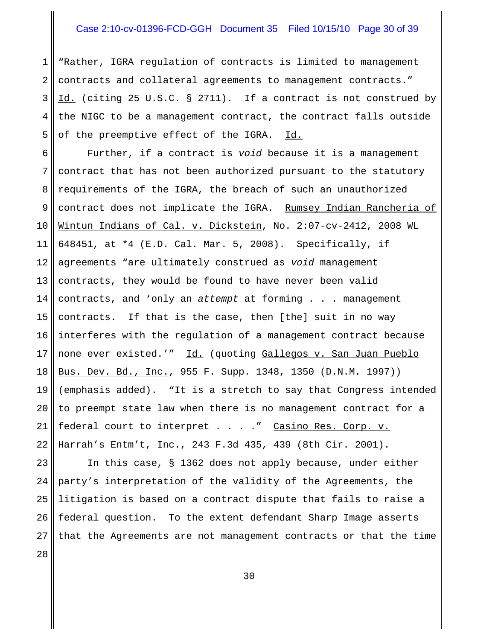# Case 2:10-cv-01396-FCD-GGH Document 35 Filed 10/15/10 Page 30 of 39

1 2 3 4 5 "Rather, IGRA regulation of contracts is limited to management contracts and collateral agreements to management contracts." Id. (citing 25 U.S.C. § 2711). If a contract is not construed by the NIGC to be a management contract, the contract falls outside of the preemptive effect of the IGRA. Id.

6 7 8 9 10 11 12 13 14 15 16 17 18 19 20 21 22 Further, if a contract is *void* because it is a management contract that has not been authorized pursuant to the statutory requirements of the IGRA, the breach of such an unauthorized contract does not implicate the IGRA. Rumsey Indian Rancheria of Wintun Indians of Cal. v. Dickstein, No. 2:07-cv-2412, 2008 WL 648451, at \*4 (E.D. Cal. Mar. 5, 2008). Specifically, if agreements "are ultimately construed as *void* management contracts, they would be found to have never been valid contracts, and 'only an *attempt* at forming . . . management contracts. If that is the case, then [the] suit in no way interferes with the regulation of a management contract because none ever existed.'" Id. (quoting Gallegos v. San Juan Pueblo Bus. Dev. Bd., Inc., 955 F. Supp. 1348, 1350 (D.N.M. 1997)) (emphasis added). "It is a stretch to say that Congress intended to preempt state law when there is no management contract for a federal court to interpret . . . ." Casino Res. Corp. v. Harrah's Entm't, Inc., 243 F.3d 435, 439 (8th Cir. 2001).

23 24 25 26 27 In this case, § 1362 does not apply because, under either party's interpretation of the validity of the Agreements, the litigation is based on a contract dispute that fails to raise a federal question. To the extent defendant Sharp Image asserts that the Agreements are not management contracts or that the time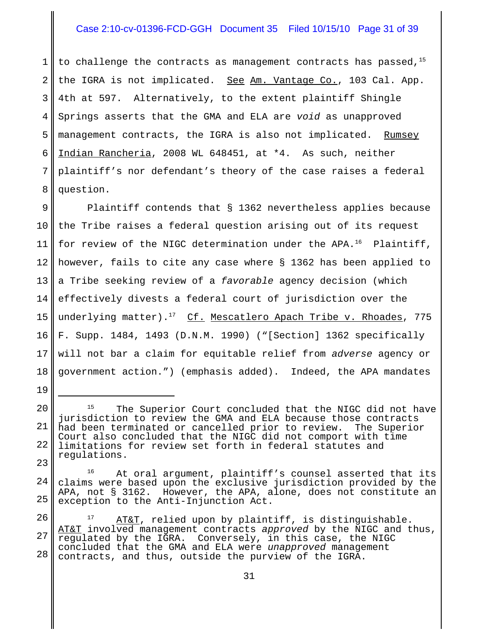## Case 2:10-cv-01396-FCD-GGH Document 35 Filed 10/15/10 Page 31 of 39

1 2 3 4 5 6 7 8 to challenge the contracts as management contracts has passed,  $15$ the IGRA is not implicated. See Am. Vantage Co., 103 Cal. App. 4th at 597. Alternatively, to the extent plaintiff Shingle Springs asserts that the GMA and ELA are *void* as unapproved management contracts, the IGRA is also not implicated. Rumsey Indian Rancheria, 2008 WL 648451, at \*4. As such, neither plaintiff's nor defendant's theory of the case raises a federal question.

9 10 11 12 13 14 15 16 17 18 Plaintiff contends that § 1362 nevertheless applies because the Tribe raises a federal question arising out of its request for review of the NIGC determination under the APA.<sup>16</sup> Plaintiff, however, fails to cite any case where § 1362 has been applied to a Tribe seeking review of a *favorable* agency decision (which effectively divests a federal court of jurisdiction over the underlying matter).<sup>17</sup> Cf. Mescatlero Apach Tribe v. Rhoades, 775 F. Supp. 1484, 1493 (D.N.M. 1990) ("[Section] 1362 specifically will not bar a claim for equitable relief from *adverse* agency or government action.") (emphasis added). Indeed, the APA mandates

<sup>20</sup> 21 22 23 <sup>15</sup> The Superior Court concluded that the NIGC did not have jurisdiction to review the GMA and ELA because those contracts had been terminated or cancelled prior to review. The Superior Court also concluded that the NIGC did not comport with time limitations for review set forth in federal statutes and regulations.

<sup>24</sup> 25 16 At oral argument, plaintiff's counsel asserted that its claims were based upon the exclusive jurisdiction provided by the APA, not § 3162. However, the APA, alone, does not constitute an exception to the Anti-Injunction Act.

<sup>26</sup> 27 28  $17$  AT&T, relied upon by plaintiff, is distinguishable. AT&T involved management contracts *approved* by the NIGC and thus, regulated by the IGRA. Conversely, in this case, the NIGC concluded that the GMA and ELA were *unapproved* management contracts, and thus, outside the purview of the IGRA.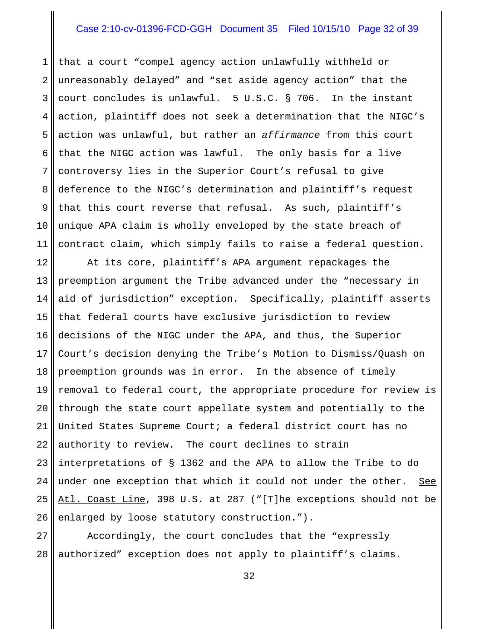#### Case 2:10-cv-01396-FCD-GGH Document 35 Filed 10/15/10 Page 32 of 39

1 2 3 4 5 6 7 8 9 10 11 that a court "compel agency action unlawfully withheld or unreasonably delayed" and "set aside agency action" that the court concludes is unlawful. 5 U.S.C. § 706. In the instant action, plaintiff does not seek a determination that the NIGC's action was unlawful, but rather an *affirmance* from this court that the NIGC action was lawful. The only basis for a live controversy lies in the Superior Court's refusal to give deference to the NIGC's determination and plaintiff's request that this court reverse that refusal. As such, plaintiff's unique APA claim is wholly enveloped by the state breach of contract claim, which simply fails to raise a federal question.

12 13 14 15 16 17 18 19 20 21 22 23 24 25 26 At its core, plaintiff's APA argument repackages the preemption argument the Tribe advanced under the "necessary in aid of jurisdiction" exception. Specifically, plaintiff asserts that federal courts have exclusive jurisdiction to review decisions of the NIGC under the APA, and thus, the Superior Court's decision denying the Tribe's Motion to Dismiss/Quash on preemption grounds was in error. In the absence of timely removal to federal court, the appropriate procedure for review is through the state court appellate system and potentially to the United States Supreme Court; a federal district court has no authority to review. The court declines to strain interpretations of § 1362 and the APA to allow the Tribe to do under one exception that which it could not under the other. See Atl. Coast Line, 398 U.S. at 287 ("[T]he exceptions should not be enlarged by loose statutory construction.").

27 28 Accordingly, the court concludes that the "expressly authorized" exception does not apply to plaintiff's claims.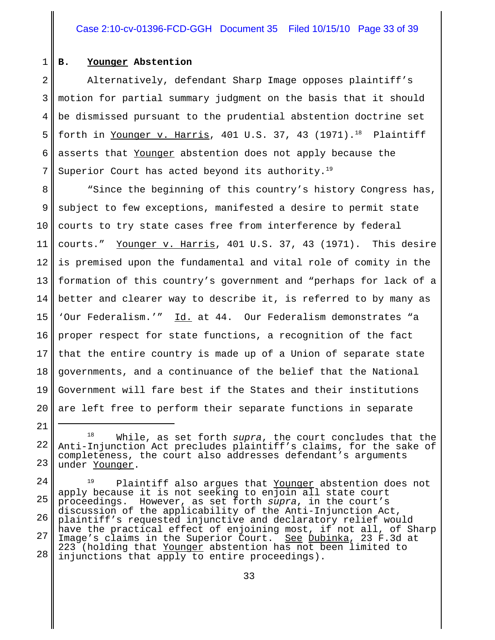#### 1 **B. Younger Abstention**

21

2 3 4 5 6 7 Alternatively, defendant Sharp Image opposes plaintiff's motion for partial summary judgment on the basis that it should be dismissed pursuant to the prudential abstention doctrine set forth in Younger v. Harris, 401 U.S. 37, 43  $(1971)$ .<sup>18</sup> Plaintiff asserts that Younger abstention does not apply because the Superior Court has acted beyond its authority.<sup>19</sup>

8 9 10 11 12 13 14 15 16 17 18 19 20 "Since the beginning of this country's history Congress has, subject to few exceptions, manifested a desire to permit state courts to try state cases free from interference by federal courts." Younger v. Harris, 401 U.S. 37, 43 (1971). This desire is premised upon the fundamental and vital role of comity in the formation of this country's government and "perhaps for lack of a better and clearer way to describe it, is referred to by many as 'Our Federalism.'" Id. at 44. Our Federalism demonstrates "a proper respect for state functions, a recognition of the fact that the entire country is made up of a Union of separate state governments, and a continuance of the belief that the National Government will fare best if the States and their institutions are left free to perform their separate functions in separate

<sup>22</sup> 23 <sup>18</sup> While, as set forth *supra*, the court concludes that the Anti-Injunction Act precludes plaintiff's claims, for the sake of completeness, the court also addresses defendant's arguments under Younger.

<sup>24</sup> 25 26 27 28 <sup>19</sup> Plaintiff also argues that Younger abstention does not apply because it is not seeking to enjoin all state court proceedings. However, as set forth *supra*, in the court's discussion of the applicability of the Anti-Injunction Act, plaintiff's requested injunctive and declaratory relief would have the practical effect of enjoining most, if not all, of Sharp Image's claims in the Superior Court. See Dubinka, 23 F.3d at 223 (holding that Younger abstention has not been limited to injunctions that apply to entire proceedings).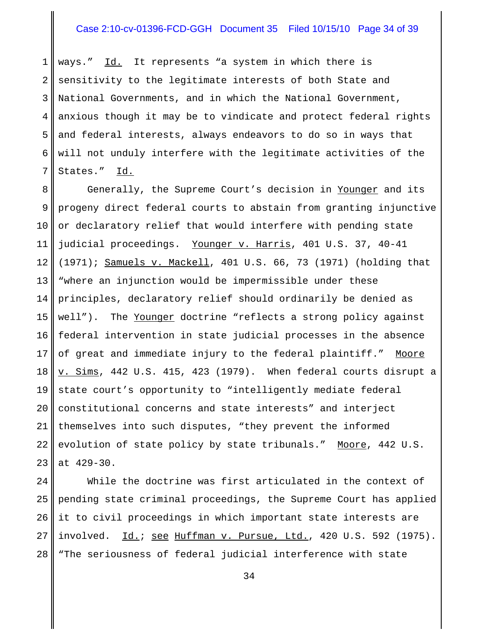#### Case 2:10-cv-01396-FCD-GGH Document 35 Filed 10/15/10 Page 34 of 39

1 2 3 4 5 6 7 ways." Id. It represents "a system in which there is sensitivity to the legitimate interests of both State and National Governments, and in which the National Government, anxious though it may be to vindicate and protect federal rights and federal interests, always endeavors to do so in ways that will not unduly interfere with the legitimate activities of the States." Id.

8 9 10 11 12 13 14 15 16 17 18 19 20 21 22 23 Generally, the Supreme Court's decision in Younger and its progeny direct federal courts to abstain from granting injunctive or declaratory relief that would interfere with pending state judicial proceedings. Younger v. Harris, 401 U.S. 37, 40-41 (1971); Samuels v. Mackell, 401 U.S. 66, 73 (1971) (holding that "where an injunction would be impermissible under these principles, declaratory relief should ordinarily be denied as well"). The Younger doctrine "reflects a strong policy against federal intervention in state judicial processes in the absence of great and immediate injury to the federal plaintiff." Moore v. Sims, 442 U.S. 415, 423 (1979). When federal courts disrupt a state court's opportunity to "intelligently mediate federal constitutional concerns and state interests" and interject themselves into such disputes, "they prevent the informed evolution of state policy by state tribunals." Moore, 442 U.S. at 429-30.

24 25 26 27 28 While the doctrine was first articulated in the context of pending state criminal proceedings, the Supreme Court has applied it to civil proceedings in which important state interests are involved. Id.; see Huffman v. Pursue, Ltd., 420 U.S. 592 (1975). "The seriousness of federal judicial interference with state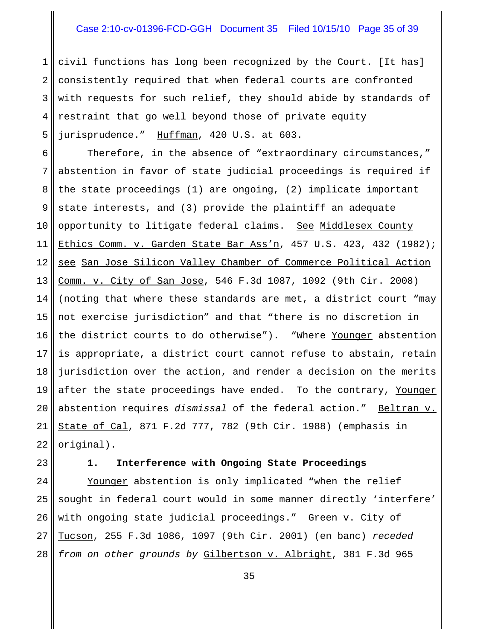#### Case 2:10-cv-01396-FCD-GGH Document 35 Filed 10/15/10 Page 35 of 39

1 2 3 4 5 civil functions has long been recognized by the Court. [It has] consistently required that when federal courts are confronted with requests for such relief, they should abide by standards of restraint that go well beyond those of private equity jurisprudence." Huffman, 420 U.S. at 603.

6 7 8 9 10 11 12 13 14 15 16 17 18 19 20 21 22 Therefore, in the absence of "extraordinary circumstances," abstention in favor of state judicial proceedings is required if the state proceedings (1) are ongoing, (2) implicate important state interests, and (3) provide the plaintiff an adequate opportunity to litigate federal claims. See Middlesex County Ethics Comm. v. Garden State Bar Ass'n, 457 U.S. 423, 432 (1982); see San Jose Silicon Valley Chamber of Commerce Political Action Comm. v. City of San Jose, 546 F.3d 1087, 1092 (9th Cir. 2008) (noting that where these standards are met, a district court "may not exercise jurisdiction" and that "there is no discretion in the district courts to do otherwise"). "Where Younger abstention is appropriate, a district court cannot refuse to abstain, retain jurisdiction over the action, and render a decision on the merits after the state proceedings have ended. To the contrary, Younger abstention requires *dismissal* of the federal action." Beltran v. State of Cal, 871 F.2d 777, 782 (9th Cir. 1988) (emphasis in original).

23

### **1. Interference with Ongoing State Proceedings**

24 25 26 27 28 Younger abstention is only implicated "when the relief sought in federal court would in some manner directly 'interfere' with ongoing state judicial proceedings." Green v. City of Tucson, 255 F.3d 1086, 1097 (9th Cir. 2001) (en banc) *receded from on other grounds by* Gilbertson v. Albright, 381 F.3d 965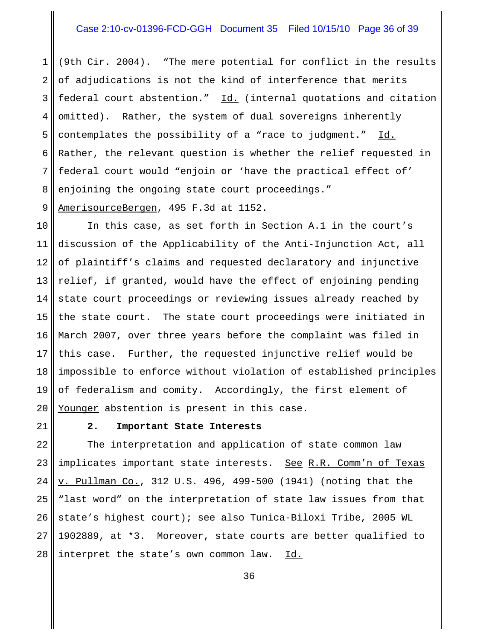#### Case 2:10-cv-01396-FCD-GGH Document 35 Filed 10/15/10 Page 36 of 39

1 2 3 4 5 6 7 8 9 (9th Cir. 2004). "The mere potential for conflict in the results of adjudications is not the kind of interference that merits federal court abstention." Id. (internal quotations and citation omitted). Rather, the system of dual sovereigns inherently contemplates the possibility of a "race to judgment." Id. Rather, the relevant question is whether the relief requested in federal court would "enjoin or 'have the practical effect of' enjoining the ongoing state court proceedings." AmerisourceBergen, 495 F.3d at 1152.

10 11 12 13 14 15 16 17 18 19 20 In this case, as set forth in Section A.1 in the court's discussion of the Applicability of the Anti-Injunction Act, all of plaintiff's claims and requested declaratory and injunctive relief, if granted, would have the effect of enjoining pending state court proceedings or reviewing issues already reached by the state court. The state court proceedings were initiated in March 2007, over three years before the complaint was filed in this case. Further, the requested injunctive relief would be impossible to enforce without violation of established principles of federalism and comity. Accordingly, the first element of Younger abstention is present in this case.

21

#### **2. Important State Interests**

22 23 24 25 26 27 28 The interpretation and application of state common law implicates important state interests. See R.R. Comm'n of Texas v. Pullman Co., 312 U.S. 496, 499-500 (1941) (noting that the "last word" on the interpretation of state law issues from that state's highest court); see also Tunica-Biloxi Tribe, 2005 WL 1902889, at \*3. Moreover, state courts are better qualified to interpret the state's own common law. Id.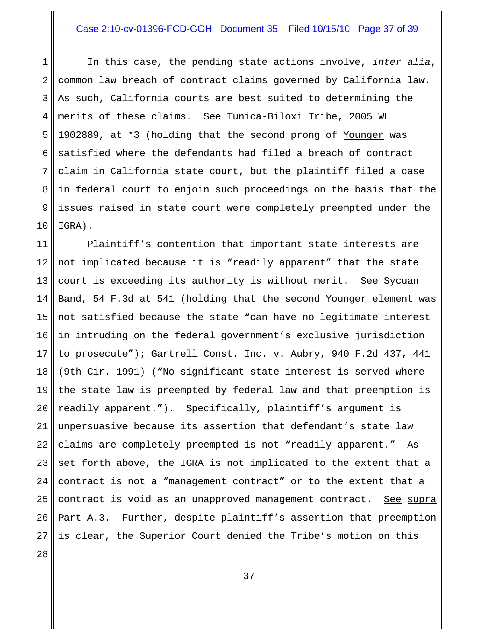#### Case 2:10-cv-01396-FCD-GGH Document 35 Filed 10/15/10 Page 37 of 39

1 2 3 4 5 6 7 8 9 10 In this case, the pending state actions involve, *inter alia*, common law breach of contract claims governed by California law. As such, California courts are best suited to determining the merits of these claims. See Tunica-Biloxi Tribe, 2005 WL 1902889, at \*3 (holding that the second prong of Younger was satisfied where the defendants had filed a breach of contract claim in California state court, but the plaintiff filed a case in federal court to enjoin such proceedings on the basis that the issues raised in state court were completely preempted under the IGRA).

11 12 13 14 15 16 17 18 19 20 21 22 23 24 25 26 27 Plaintiff's contention that important state interests are not implicated because it is "readily apparent" that the state court is exceeding its authority is without merit. See Sycuan Band, 54 F.3d at 541 (holding that the second Younger element was not satisfied because the state "can have no legitimate interest in intruding on the federal government's exclusive jurisdiction to prosecute"); Gartrell Const. Inc. v. Aubry, 940 F.2d 437, 441 (9th Cir. 1991) ("No significant state interest is served where the state law is preempted by federal law and that preemption is readily apparent."). Specifically, plaintiff's argument is unpersuasive because its assertion that defendant's state law claims are completely preempted is not "readily apparent." As set forth above, the IGRA is not implicated to the extent that a contract is not a "management contract" or to the extent that a contract is void as an unapproved management contract. See supra Part A.3. Further, despite plaintiff's assertion that preemption is clear, the Superior Court denied the Tribe's motion on this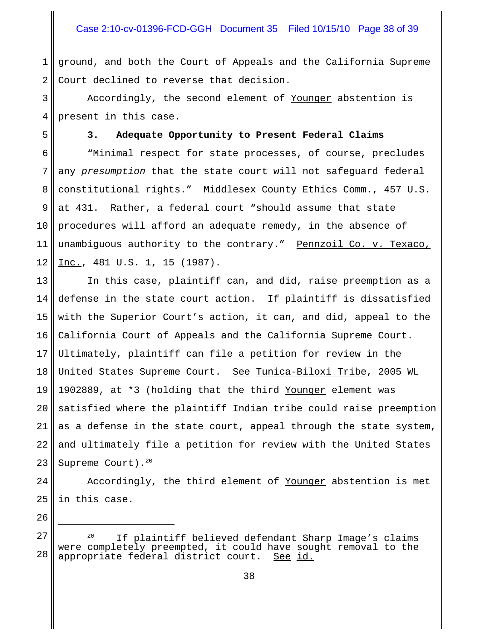# Case 2:10-cv-01396-FCD-GGH Document 35 Filed 10/15/10 Page 38 of 39

1 2 ground, and both the Court of Appeals and the California Supreme Court declined to reverse that decision.

3 4 Accordingly, the second element of Younger abstention is present in this case.

5

26

#### **3. Adequate Opportunity to Present Federal Claims**

6 7 8 9 10 11 12 "Minimal respect for state processes, of course, precludes any *presumption* that the state court will not safeguard federal constitutional rights." Middlesex County Ethics Comm., 457 U.S. at 431. Rather, a federal court "should assume that state procedures will afford an adequate remedy, in the absence of unambiguous authority to the contrary." Pennzoil Co. v. Texaco, Inc., 481 U.S. 1, 15 (1987).

13 14 15 16 17 18 19 20 21 22 23 In this case, plaintiff can, and did, raise preemption as a defense in the state court action. If plaintiff is dissatisfied with the Superior Court's action, it can, and did, appeal to the California Court of Appeals and the California Supreme Court. Ultimately, plaintiff can file a petition for review in the United States Supreme Court. See Tunica-Biloxi Tribe, 2005 WL 1902889, at \*3 (holding that the third Younger element was satisfied where the plaintiff Indian tribe could raise preemption as a defense in the state court, appeal through the state system, and ultimately file a petition for review with the United States Supreme Court).<sup>20</sup>

24 25 Accordingly, the third element of Younger abstention is met in this case.

<sup>27</sup> 28 <sup>20</sup> If plaintiff believed defendant Sharp Image's claims were completely preempted, it could have sought removal to the<br>appropriate federal district court. See id. appropriate federal district court.